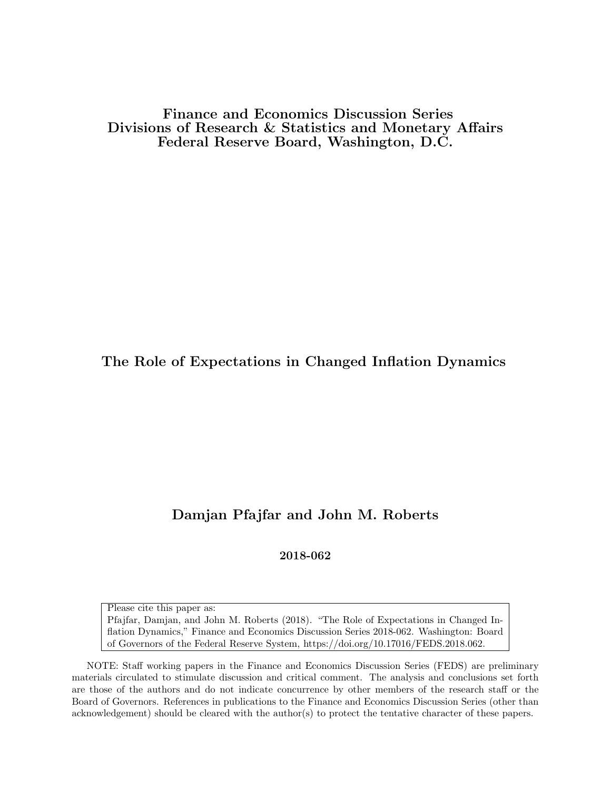Finance and Economics Discussion Series Divisions of Research & Statistics and Monetary Affairs Federal Reserve Board, Washington, D.C.

The Role of Expectations in Changed Inflation Dynamics

## Damjan Pfajfar and John M. Roberts

2018-062

Please cite this paper as: Pfajfar, Damjan, and John M. Roberts (2018). "The Role of Expectations in Changed Inflation Dynamics," Finance and Economics Discussion Series 2018-062. Washington: Board of Governors of the Federal Reserve System, https://doi.org/10.17016/FEDS.2018.062.

NOTE: Staff working papers in the Finance and Economics Discussion Series (FEDS) are preliminary materials circulated to stimulate discussion and critical comment. The analysis and conclusions set forth are those of the authors and do not indicate concurrence by other members of the research staff or the Board of Governors. References in publications to the Finance and Economics Discussion Series (other than acknowledgement) should be cleared with the author(s) to protect the tentative character of these papers.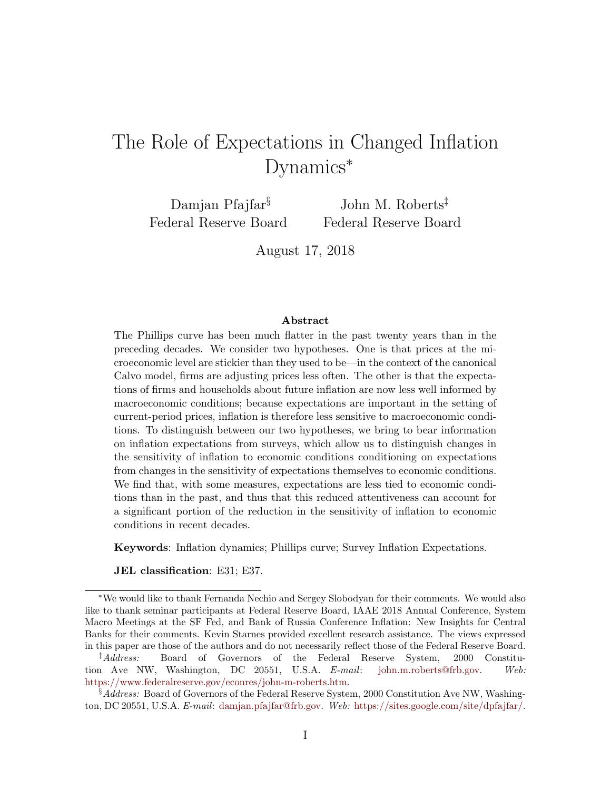# The Role of Expectations in Changed Inflation Dynamics<sup>∗</sup>

Damjan Pfajfar<sup>§</sup> Federal Reserve Board

John M. Roberts‡ Federal Reserve Board

August 17, 2018

#### Abstract

The Phillips curve has been much flatter in the past twenty years than in the preceding decades. We consider two hypotheses. One is that prices at the microeconomic level are stickier than they used to be—in the context of the canonical Calvo model, firms are adjusting prices less often. The other is that the expectations of firms and households about future inflation are now less well informed by macroeconomic conditions; because expectations are important in the setting of current-period prices, inflation is therefore less sensitive to macroeconomic conditions. To distinguish between our two hypotheses, we bring to bear information on inflation expectations from surveys, which allow us to distinguish changes in the sensitivity of inflation to economic conditions conditioning on expectations from changes in the sensitivity of expectations themselves to economic conditions. We find that, with some measures, expectations are less tied to economic conditions than in the past, and thus that this reduced attentiveness can account for a significant portion of the reduction in the sensitivity of inflation to economic conditions in recent decades.

Keywords: Inflation dynamics; Phillips curve; Survey Inflation Expectations.

JEL classification: E31; E37.

<sup>∗</sup>We would like to thank Fernanda Nechio and Sergey Slobodyan for their comments. We would also like to thank seminar participants at Federal Reserve Board, IAAE 2018 Annual Conference, System Macro Meetings at the SF Fed, and Bank of Russia Conference Inflation: New Insights for Central Banks for their comments. Kevin Starnes provided excellent research assistance. The views expressed in this paper are those of the authors and do not necessarily reflect those of the Federal Reserve Board.

<sup>‡</sup>Address: Board of Governors of the Federal Reserve System, 2000 Constitution Ave NW, Washington, DC 20551, U.S.A. E-mail: [john.m.roberts@frb.gov.](mailto:john.m.roberts@frb.gov) Web: [https://www.federalreserve.gov/econres/john-m-roberts.htm.](https://www.federalreserve.gov/econres/john-m-roberts.htm)

<sup>&</sup>lt;sup>§</sup>Address: Board of Governors of the Federal Reserve System, 2000 Constitution Ave NW, Washington, DC 20551, U.S.A. E-mail: [damjan.pfajfar@frb.gov.](mailto:damjan.pfajfar@frb.gov) Web: [https://sites.google.com/site/dpfajfar/.](https://sites.google.com/site/dpfajfar/)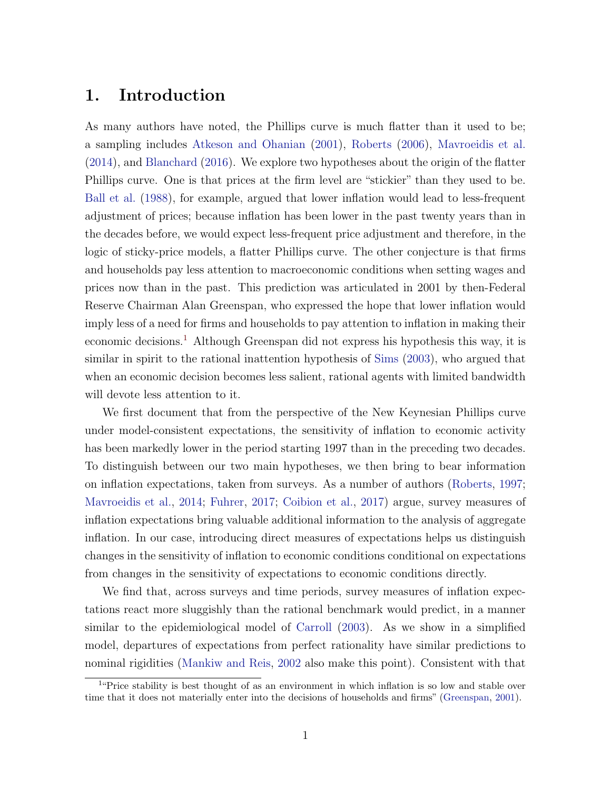# 1. Introduction

As many authors have noted, the Phillips curve is much flatter than it used to be; a sampling includes [Atkeson and Ohanian](#page-28-0) [\(2001\)](#page-28-0), [Roberts](#page-30-0) [\(2006\)](#page-30-0), [Mavroeidis et al.](#page-29-0) [\(2014\)](#page-29-0), and [Blanchard](#page-28-1) [\(2016\)](#page-28-1). We explore two hypotheses about the origin of the flatter Phillips curve. One is that prices at the firm level are "stickier" than they used to be. [Ball et al.](#page-28-2) [\(1988\)](#page-28-2), for example, argued that lower inflation would lead to less-frequent adjustment of prices; because inflation has been lower in the past twenty years than in the decades before, we would expect less-frequent price adjustment and therefore, in the logic of sticky-price models, a flatter Phillips curve. The other conjecture is that firms and households pay less attention to macroeconomic conditions when setting wages and prices now than in the past. This prediction was articulated in 2001 by then-Federal Reserve Chairman Alan Greenspan, who expressed the hope that lower inflation would imply less of a need for firms and households to pay attention to inflation in making their economic decisions.[1](#page-2-0) Although Greenspan did not express his hypothesis this way, it is similar in spirit to the rational inattention hypothesis of [Sims](#page-30-1) [\(2003\)](#page-30-1), who argued that when an economic decision becomes less salient, rational agents with limited bandwidth will devote less attention to it.

We first document that from the perspective of the New Keynesian Phillips curve under model-consistent expectations, the sensitivity of inflation to economic activity has been markedly lower in the period starting 1997 than in the preceding two decades. To distinguish between our two main hypotheses, we then bring to bear information on inflation expectations, taken from surveys. As a number of authors [\(Roberts,](#page-30-2) [1997;](#page-30-2) [Mavroeidis et al.,](#page-29-0) [2014;](#page-29-0) [Fuhrer,](#page-29-1) [2017;](#page-29-1) [Coibion et al.,](#page-28-3) [2017\)](#page-28-3) argue, survey measures of inflation expectations bring valuable additional information to the analysis of aggregate inflation. In our case, introducing direct measures of expectations helps us distinguish changes in the sensitivity of inflation to economic conditions conditional on expectations from changes in the sensitivity of expectations to economic conditions directly.

We find that, across surveys and time periods, survey measures of inflation expectations react more sluggishly than the rational benchmark would predict, in a manner similar to the epidemiological model of [Carroll](#page-28-4) [\(2003\)](#page-28-4). As we show in a simplified model, departures of expectations from perfect rationality have similar predictions to nominal rigidities [\(Mankiw and Reis,](#page-29-2) [2002](#page-29-2) also make this point). Consistent with that

<span id="page-2-0"></span><sup>&</sup>lt;sup>1</sup>"Price stability is best thought of as an environment in which inflation is so low and stable over time that it does not materially enter into the decisions of households and firms" [\(Greenspan,](#page-29-3) [2001\)](#page-29-3).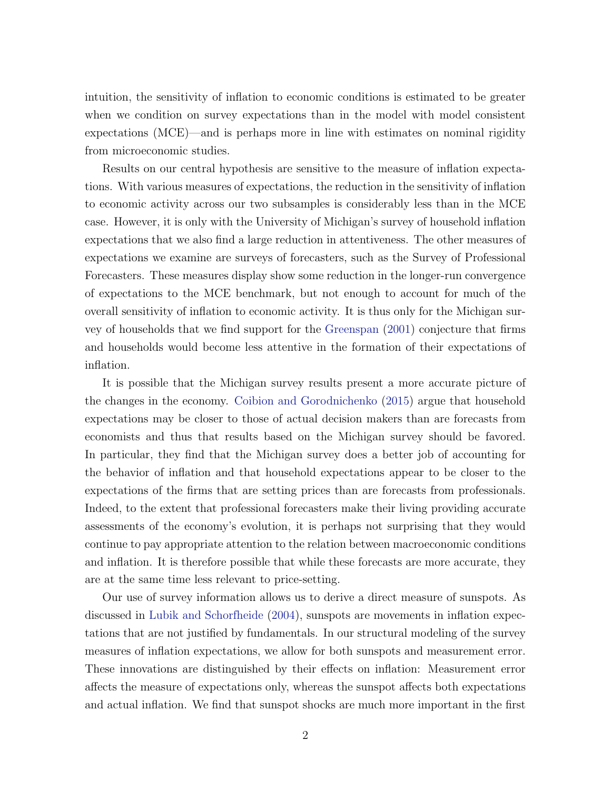intuition, the sensitivity of inflation to economic conditions is estimated to be greater when we condition on survey expectations than in the model with model consistent expectations (MCE)—and is perhaps more in line with estimates on nominal rigidity from microeconomic studies.

Results on our central hypothesis are sensitive to the measure of inflation expectations. With various measures of expectations, the reduction in the sensitivity of inflation to economic activity across our two subsamples is considerably less than in the MCE case. However, it is only with the University of Michigan's survey of household inflation expectations that we also find a large reduction in attentiveness. The other measures of expectations we examine are surveys of forecasters, such as the Survey of Professional Forecasters. These measures display show some reduction in the longer-run convergence of expectations to the MCE benchmark, but not enough to account for much of the overall sensitivity of inflation to economic activity. It is thus only for the Michigan survey of households that we find support for the [Greenspan](#page-29-3) [\(2001\)](#page-29-3) conjecture that firms and households would become less attentive in the formation of their expectations of inflation.

It is possible that the Michigan survey results present a more accurate picture of the changes in the economy. [Coibion and Gorodnichenko](#page-28-5) [\(2015\)](#page-28-5) argue that household expectations may be closer to those of actual decision makers than are forecasts from economists and thus that results based on the Michigan survey should be favored. In particular, they find that the Michigan survey does a better job of accounting for the behavior of inflation and that household expectations appear to be closer to the expectations of the firms that are setting prices than are forecasts from professionals. Indeed, to the extent that professional forecasters make their living providing accurate assessments of the economy's evolution, it is perhaps not surprising that they would continue to pay appropriate attention to the relation between macroeconomic conditions and inflation. It is therefore possible that while these forecasts are more accurate, they are at the same time less relevant to price-setting.

Our use of survey information allows us to derive a direct measure of sunspots. As discussed in [Lubik and Schorfheide](#page-29-4) [\(2004\)](#page-29-4), sunspots are movements in inflation expectations that are not justified by fundamentals. In our structural modeling of the survey measures of inflation expectations, we allow for both sunspots and measurement error. These innovations are distinguished by their effects on inflation: Measurement error affects the measure of expectations only, whereas the sunspot affects both expectations and actual inflation. We find that sunspot shocks are much more important in the first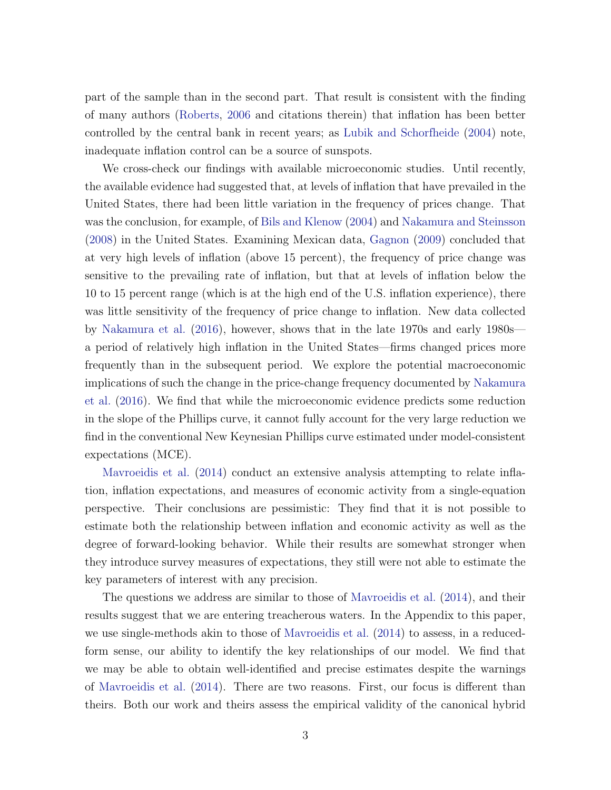part of the sample than in the second part. That result is consistent with the finding of many authors [\(Roberts,](#page-30-0) [2006](#page-30-0) and citations therein) that inflation has been better controlled by the central bank in recent years; as [Lubik and Schorfheide](#page-29-4) [\(2004\)](#page-29-4) note, inadequate inflation control can be a source of sunspots.

We cross-check our findings with available microeconomic studies. Until recently, the available evidence had suggested that, at levels of inflation that have prevailed in the United States, there had been little variation in the frequency of prices change. That was the conclusion, for example, of [Bils and Klenow](#page-28-6) [\(2004\)](#page-28-6) and [Nakamura and Steinsson](#page-30-3) [\(2008\)](#page-30-3) in the United States. Examining Mexican data, [Gagnon](#page-29-5) [\(2009\)](#page-29-5) concluded that at very high levels of inflation (above 15 percent), the frequency of price change was sensitive to the prevailing rate of inflation, but that at levels of inflation below the 10 to 15 percent range (which is at the high end of the U.S. inflation experience), there was little sensitivity of the frequency of price change to inflation. New data collected by [Nakamura et al.](#page-30-4) [\(2016\)](#page-30-4), however, shows that in the late 1970s and early 1980s a period of relatively high inflation in the United States—firms changed prices more frequently than in the subsequent period. We explore the potential macroeconomic implications of such the change in the price-change frequency documented by [Nakamura](#page-30-4) [et al.](#page-30-4) [\(2016\)](#page-30-4). We find that while the microeconomic evidence predicts some reduction in the slope of the Phillips curve, it cannot fully account for the very large reduction we find in the conventional New Keynesian Phillips curve estimated under model-consistent expectations (MCE).

[Mavroeidis et al.](#page-29-0) [\(2014\)](#page-29-0) conduct an extensive analysis attempting to relate inflation, inflation expectations, and measures of economic activity from a single-equation perspective. Their conclusions are pessimistic: They find that it is not possible to estimate both the relationship between inflation and economic activity as well as the degree of forward-looking behavior. While their results are somewhat stronger when they introduce survey measures of expectations, they still were not able to estimate the key parameters of interest with any precision.

The questions we address are similar to those of [Mavroeidis et al.](#page-29-0) [\(2014\)](#page-29-0), and their results suggest that we are entering treacherous waters. In the Appendix to this paper, we use single-methods akin to those of [Mavroeidis et al.](#page-29-0) [\(2014\)](#page-29-0) to assess, in a reducedform sense, our ability to identify the key relationships of our model. We find that we may be able to obtain well-identified and precise estimates despite the warnings of [Mavroeidis et al.](#page-29-0) [\(2014\)](#page-29-0). There are two reasons. First, our focus is different than theirs. Both our work and theirs assess the empirical validity of the canonical hybrid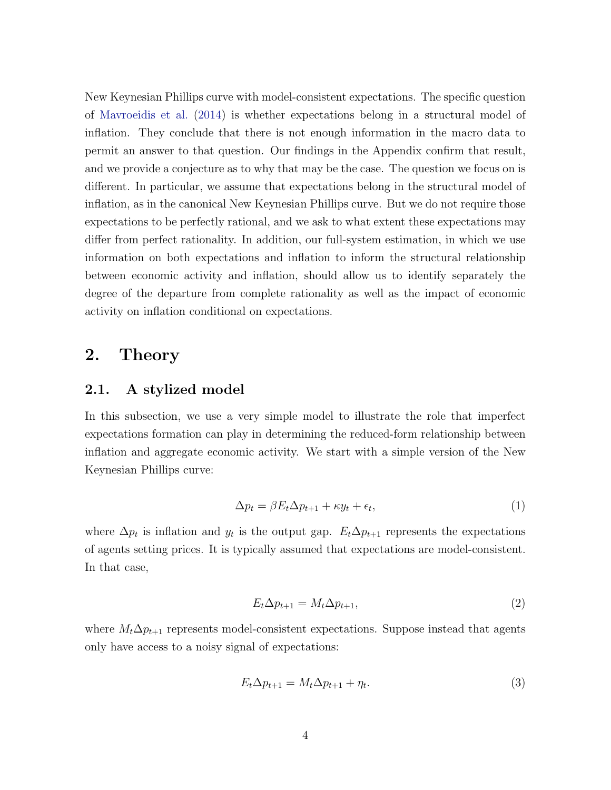New Keynesian Phillips curve with model-consistent expectations. The specific question of [Mavroeidis et al.](#page-29-0) [\(2014\)](#page-29-0) is whether expectations belong in a structural model of inflation. They conclude that there is not enough information in the macro data to permit an answer to that question. Our findings in the Appendix confirm that result, and we provide a conjecture as to why that may be the case. The question we focus on is different. In particular, we assume that expectations belong in the structural model of inflation, as in the canonical New Keynesian Phillips curve. But we do not require those expectations to be perfectly rational, and we ask to what extent these expectations may differ from perfect rationality. In addition, our full-system estimation, in which we use information on both expectations and inflation to inform the structural relationship between economic activity and inflation, should allow us to identify separately the degree of the departure from complete rationality as well as the impact of economic activity on inflation conditional on expectations.

## <span id="page-5-2"></span>2. Theory

#### <span id="page-5-3"></span>2.1. A stylized model

In this subsection, we use a very simple model to illustrate the role that imperfect expectations formation can play in determining the reduced-form relationship between inflation and aggregate economic activity. We start with a simple version of the New Keynesian Phillips curve:

<span id="page-5-1"></span>
$$
\Delta p_t = \beta E_t \Delta p_{t+1} + \kappa y_t + \epsilon_t,\tag{1}
$$

where  $\Delta p_t$  is inflation and  $y_t$  is the output gap.  $E_t \Delta p_{t+1}$  represents the expectations of agents setting prices. It is typically assumed that expectations are model-consistent. In that case,

$$
E_t \Delta p_{t+1} = M_t \Delta p_{t+1},\tag{2}
$$

where  $M_t \Delta p_{t+1}$  represents model-consistent expectations. Suppose instead that agents only have access to a noisy signal of expectations:

<span id="page-5-0"></span>
$$
E_t \Delta p_{t+1} = M_t \Delta p_{t+1} + \eta_t. \tag{3}
$$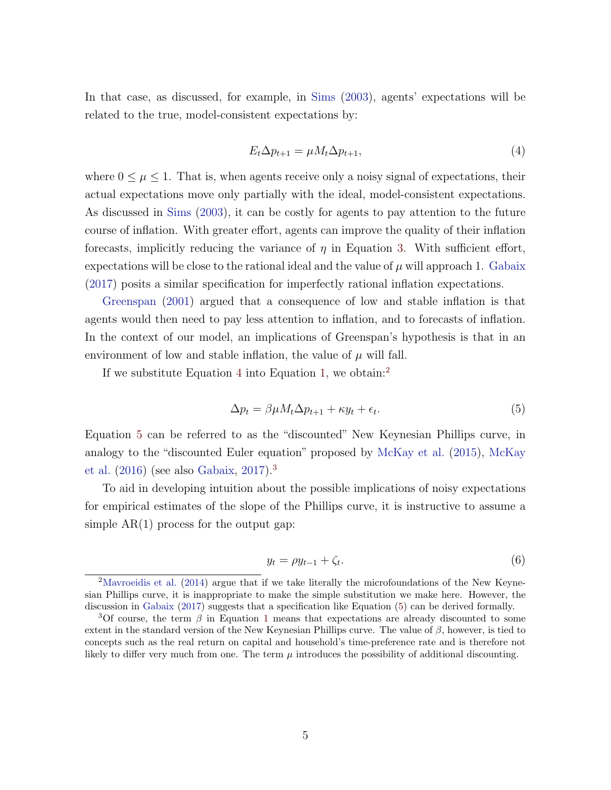In that case, as discussed, for example, in [Sims](#page-30-1) [\(2003\)](#page-30-1), agents' expectations will be related to the true, model-consistent expectations by:

<span id="page-6-0"></span>
$$
E_t \Delta p_{t+1} = \mu M_t \Delta p_{t+1},\tag{4}
$$

where  $0 \leq \mu \leq 1$ . That is, when agents receive only a noisy signal of expectations, their actual expectations move only partially with the ideal, model-consistent expectations. As discussed in [Sims](#page-30-1) [\(2003\)](#page-30-1), it can be costly for agents to pay attention to the future course of inflation. With greater effort, agents can improve the quality of their inflation forecasts, implicitly reducing the variance of  $\eta$  in Equation [3.](#page-5-0) With sufficient effort, expectations will be close to the rational ideal and the value of  $\mu$  will approach 1. [Gabaix](#page-29-6) [\(2017\)](#page-29-6) posits a similar specification for imperfectly rational inflation expectations.

[Greenspan](#page-29-3) [\(2001\)](#page-29-3) argued that a consequence of low and stable inflation is that agents would then need to pay less attention to inflation, and to forecasts of inflation. In the context of our model, an implications of Greenspan's hypothesis is that in an environment of low and stable inflation, the value of  $\mu$  will fall.

If we substitute Equation [4](#page-6-0) into Equation [1,](#page-5-1) we obtain:<sup>[2](#page-6-1)</sup>

<span id="page-6-2"></span>
$$
\Delta p_t = \beta \mu M_t \Delta p_{t+1} + \kappa y_t + \epsilon_t. \tag{5}
$$

Equation [5](#page-6-2) can be referred to as the "discounted" New Keynesian Phillips curve, in analogy to the "discounted Euler equation" proposed by [McKay et al.](#page-29-7) [\(2015\)](#page-29-7), [McKay](#page-30-5) [et al.](#page-30-5) [\(2016\)](#page-30-5) (see also [Gabaix,](#page-29-6) [2017\)](#page-29-6).[3](#page-6-3)

To aid in developing intuition about the possible implications of noisy expectations for empirical estimates of the slope of the Phillips curve, it is instructive to assume a simple  $AR(1)$  process for the output gap:

$$
y_t = \rho y_{t-1} + \zeta_t. \tag{6}
$$

<span id="page-6-1"></span><sup>&</sup>lt;sup>2</sup>[Mavroeidis et al.](#page-29-0) [\(2014\)](#page-29-0) argue that if we take literally the microfoundations of the New Keynesian Phillips curve, it is inappropriate to make the simple substitution we make here. However, the discussion in [Gabaix](#page-29-6) [\(2017\)](#page-29-6) suggests that a specification like Equation [\(5\)](#page-6-2) can be derived formally.

<span id="page-6-3"></span><sup>&</sup>lt;sup>3</sup>Of course, the term  $\beta$  in Equation [1](#page-5-1) means that expectations are already discounted to some extent in the standard version of the New Keynesian Phillips curve. The value of  $\beta$ , however, is tied to concepts such as the real return on capital and household's time-preference rate and is therefore not likely to differ very much from one. The term  $\mu$  introduces the possibility of additional discounting.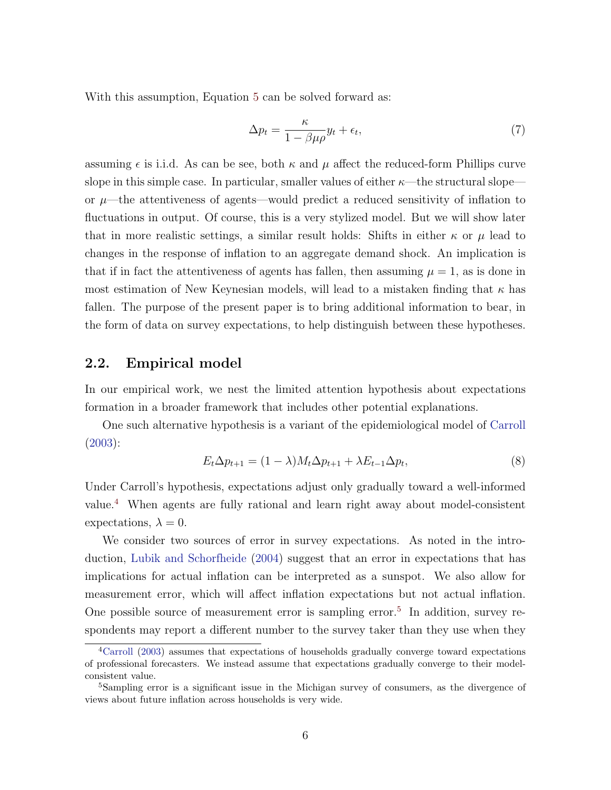With this assumption, Equation [5](#page-6-2) can be solved forward as:

<span id="page-7-3"></span>
$$
\Delta p_t = \frac{\kappa}{1 - \beta \mu \rho} y_t + \epsilon_t,\tag{7}
$$

assuming  $\epsilon$  is i.i.d. As can be see, both  $\kappa$  and  $\mu$  affect the reduced-form Phillips curve slope in this simple case. In particular, smaller values of either  $\kappa$ —the structural slope or  $\mu$ —the attentiveness of agents—would predict a reduced sensitivity of inflation to fluctuations in output. Of course, this is a very stylized model. But we will show later that in more realistic settings, a similar result holds: Shifts in either  $\kappa$  or  $\mu$  lead to changes in the response of inflation to an aggregate demand shock. An implication is that if in fact the attentiveness of agents has fallen, then assuming  $\mu = 1$ , as is done in most estimation of New Keynesian models, will lead to a mistaken finding that  $\kappa$  has fallen. The purpose of the present paper is to bring additional information to bear, in the form of data on survey expectations, to help distinguish between these hypotheses.

#### <span id="page-7-2"></span>2.2. Empirical model

In our empirical work, we nest the limited attention hypothesis about expectations formation in a broader framework that includes other potential explanations.

One such alternative hypothesis is a variant of the epidemiological model of [Carroll](#page-28-4) [\(2003\)](#page-28-4):

$$
E_t \Delta p_{t+1} = (1 - \lambda)M_t \Delta p_{t+1} + \lambda E_{t-1} \Delta p_t, \tag{8}
$$

Under Carroll's hypothesis, expectations adjust only gradually toward a well-informed value.[4](#page-7-0) When agents are fully rational and learn right away about model-consistent expectations,  $\lambda = 0$ .

We consider two sources of error in survey expectations. As noted in the introduction, [Lubik and Schorfheide](#page-29-4) [\(2004\)](#page-29-4) suggest that an error in expectations that has implications for actual inflation can be interpreted as a sunspot. We also allow for measurement error, which will affect inflation expectations but not actual inflation. One possible source of measurement error is sampling error.<sup>[5](#page-7-1)</sup> In addition, survey respondents may report a different number to the survey taker than they use when they

<span id="page-7-0"></span><sup>4</sup>[Carroll](#page-28-4) [\(2003\)](#page-28-4) assumes that expectations of households gradually converge toward expectations of professional forecasters. We instead assume that expectations gradually converge to their modelconsistent value.

<span id="page-7-1"></span><sup>5</sup>Sampling error is a significant issue in the Michigan survey of consumers, as the divergence of views about future inflation across households is very wide.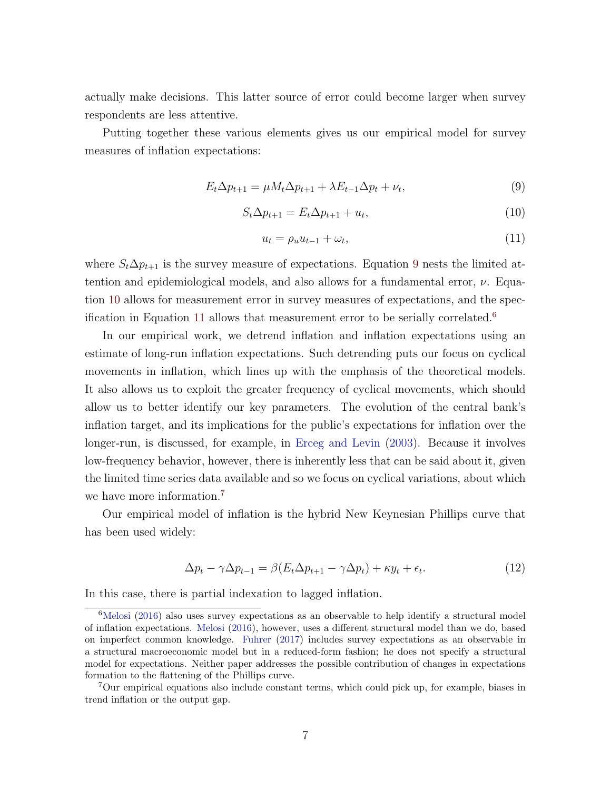actually make decisions. This latter source of error could become larger when survey respondents are less attentive.

Putting together these various elements gives us our empirical model for survey measures of inflation expectations:

<span id="page-8-0"></span>
$$
E_t \Delta p_{t+1} = \mu M_t \Delta p_{t+1} + \lambda E_{t-1} \Delta p_t + \nu_t, \tag{9}
$$

<span id="page-8-1"></span>
$$
S_t \Delta p_{t+1} = E_t \Delta p_{t+1} + u_t, \qquad (10)
$$

<span id="page-8-2"></span>
$$
u_t = \rho_u u_{t-1} + \omega_t, \tag{11}
$$

where  $S_t \Delta p_{t+1}$  is the survey measure of expectations. Equation [9](#page-8-0) nests the limited attention and epidemiological models, and also allows for a fundamental error,  $\nu$ . Equation [10](#page-8-1) allows for measurement error in survey measures of expectations, and the spec-ification in Equation [11](#page-8-2) allows that measurement error to be serially correlated.<sup>[6](#page-8-3)</sup>

In our empirical work, we detrend inflation and inflation expectations using an estimate of long-run inflation expectations. Such detrending puts our focus on cyclical movements in inflation, which lines up with the emphasis of the theoretical models. It also allows us to exploit the greater frequency of cyclical movements, which should allow us to better identify our key parameters. The evolution of the central bank's inflation target, and its implications for the public's expectations for inflation over the longer-run, is discussed, for example, in [Erceg and Levin](#page-29-8) [\(2003\)](#page-29-8). Because it involves low-frequency behavior, however, there is inherently less that can be said about it, given the limited time series data available and so we focus on cyclical variations, about which we have more information.<sup>[7](#page-8-4)</sup>

Our empirical model of inflation is the hybrid New Keynesian Phillips curve that has been used widely:

<span id="page-8-5"></span>
$$
\Delta p_t - \gamma \Delta p_{t-1} = \beta (E_t \Delta p_{t+1} - \gamma \Delta p_t) + \kappa y_t + \epsilon_t.
$$
\n(12)

In this case, there is partial indexation to lagged inflation.

<span id="page-8-3"></span> $6$ [Melosi](#page-30-6) [\(2016\)](#page-30-6) also uses survey expectations as an observable to help identify a structural model of inflation expectations. [Melosi](#page-30-6) [\(2016\)](#page-30-6), however, uses a different structural model than we do, based on imperfect common knowledge. [Fuhrer](#page-29-1) [\(2017\)](#page-29-1) includes survey expectations as an observable in a structural macroeconomic model but in a reduced-form fashion; he does not specify a structural model for expectations. Neither paper addresses the possible contribution of changes in expectations formation to the flattening of the Phillips curve.

<span id="page-8-4"></span><sup>7</sup>Our empirical equations also include constant terms, which could pick up, for example, biases in trend inflation or the output gap.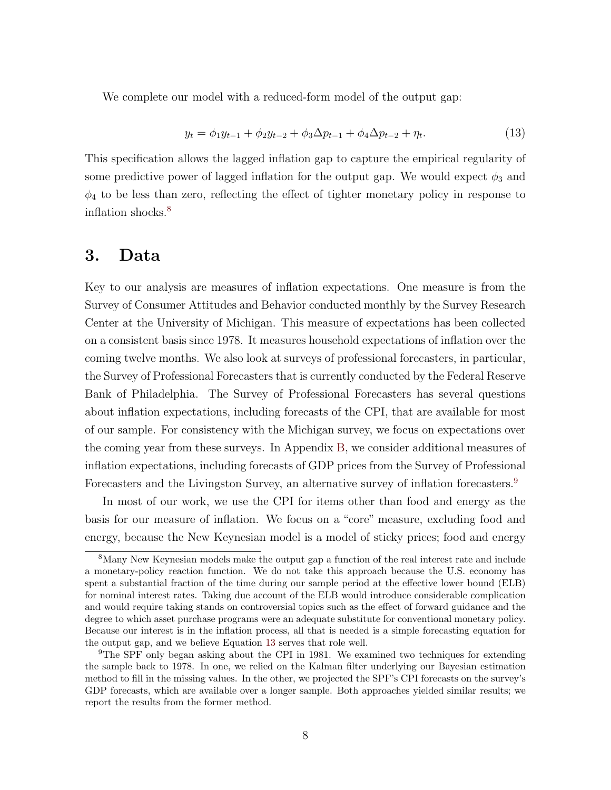We complete our model with a reduced-form model of the output gap:

<span id="page-9-2"></span>
$$
y_t = \phi_1 y_{t-1} + \phi_2 y_{t-2} + \phi_3 \Delta p_{t-1} + \phi_4 \Delta p_{t-2} + \eta_t.
$$
 (13)

This specification allows the lagged inflation gap to capture the empirical regularity of some predictive power of lagged inflation for the output gap. We would expect  $\phi_3$  and  $\phi_4$  to be less than zero, reflecting the effect of tighter monetary policy in response to inflation shocks.<sup>[8](#page-9-0)</sup>

### <span id="page-9-3"></span>3. Data

Key to our analysis are measures of inflation expectations. One measure is from the Survey of Consumer Attitudes and Behavior conducted monthly by the Survey Research Center at the University of Michigan. This measure of expectations has been collected on a consistent basis since 1978. It measures household expectations of inflation over the coming twelve months. We also look at surveys of professional forecasters, in particular, the Survey of Professional Forecasters that is currently conducted by the Federal Reserve Bank of Philadelphia. The Survey of Professional Forecasters has several questions about inflation expectations, including forecasts of the CPI, that are available for most of our sample. For consistency with the Michigan survey, we focus on expectations over the coming year from these surveys. In Appendix [B,](#page-5-2) we consider additional measures of inflation expectations, including forecasts of GDP prices from the Survey of Professional Forecasters and the Livingston Survey, an alternative survey of inflation forecasters.[9](#page-9-1)

In most of our work, we use the CPI for items other than food and energy as the basis for our measure of inflation. We focus on a "core" measure, excluding food and energy, because the New Keynesian model is a model of sticky prices; food and energy

<span id="page-9-0"></span><sup>8</sup>Many New Keynesian models make the output gap a function of the real interest rate and include a monetary-policy reaction function. We do not take this approach because the U.S. economy has spent a substantial fraction of the time during our sample period at the effective lower bound (ELB) for nominal interest rates. Taking due account of the ELB would introduce considerable complication and would require taking stands on controversial topics such as the effect of forward guidance and the degree to which asset purchase programs were an adequate substitute for conventional monetary policy. Because our interest is in the inflation process, all that is needed is a simple forecasting equation for the output gap, and we believe Equation [13](#page-9-2) serves that role well.

<span id="page-9-1"></span><sup>9</sup>The SPF only began asking about the CPI in 1981. We examined two techniques for extending the sample back to 1978. In one, we relied on the Kalman filter underlying our Bayesian estimation method to fill in the missing values. In the other, we projected the SPF's CPI forecasts on the survey's GDP forecasts, which are available over a longer sample. Both approaches yielded similar results; we report the results from the former method.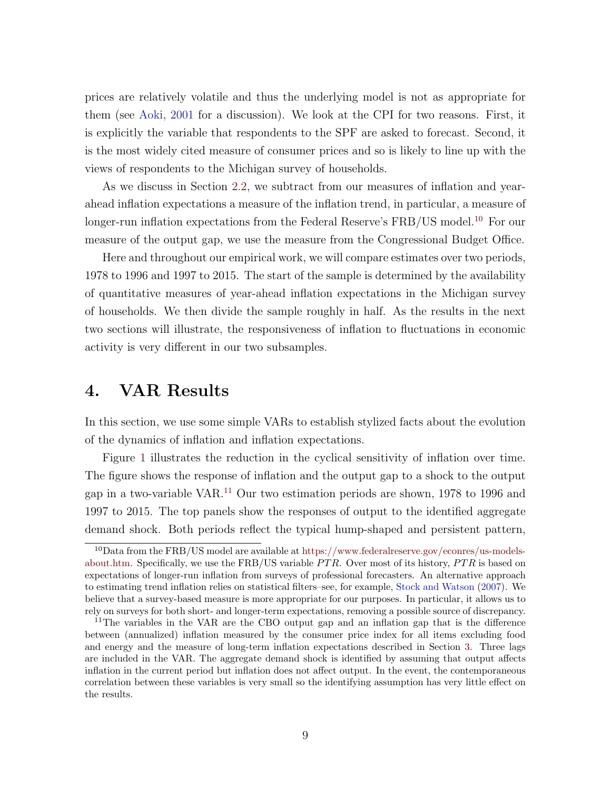prices are relatively volatile and thus the underlying model is not as appropriate for them (see [Aoki,](#page-28-7) [2001](#page-28-7) for a discussion). We look at the CPI for two reasons. First, it is explicitly the variable that respondents to the SPF are asked to forecast. Second, it is the most widely cited measure of consumer prices and so is likely to line up with the views of respondents to the Michigan survey of households.

As we discuss in Section [2.2,](#page-7-2) we subtract from our measures of inflation and yearahead inflation expectations a measure of the inflation trend, in particular, a measure of longer-run inflation expectations from the Federal Reserve's FRB/US model.<sup>[10](#page-10-0)</sup> For our measure of the output gap, we use the measure from the Congressional Budget Office.

Here and throughout our empirical work, we will compare estimates over two periods, 1978 to 1996 and 1997 to 2015. The start of the sample is determined by the availability of quantitative measures of year-ahead inflation expectations in the Michigan survey of households. We then divide the sample roughly in half. As the results in the next two sections will illustrate, the responsiveness of inflation to fluctuations in economic activity is very different in our two subsamples.

### <span id="page-10-2"></span>4. VAR Results

In this section, we use some simple VARs to establish stylized facts about the evolution of the dynamics of inflation and inflation expectations.

Figure [1](#page-11-0) illustrates the reduction in the cyclical sensitivity of inflation over time. The figure shows the response of inflation and the output gap to a shock to the output gap in a two-variable VAR.[11](#page-10-1) Our two estimation periods are shown, 1978 to 1996 and 1997 to 2015. The top panels show the responses of output to the identified aggregate demand shock. Both periods reflect the typical hump-shaped and persistent pattern,

<span id="page-10-0"></span><sup>10</sup>Data from the FRB/US model are available at [https://www.federalreserve.gov/econres/us-models](https://www.federalreserve.gov/econres/us-models-about.htm)[about.htm.](https://www.federalreserve.gov/econres/us-models-about.htm) Specifically, we use the  $FRB/US$  variable  $PTR$ . Over most of its history,  $PTR$  is based on expectations of longer-run inflation from surveys of professional forecasters. An alternative approach to estimating trend inflation relies on statistical filters–see, for example, [Stock and Watson](#page-30-7) [\(2007\)](#page-30-7). We believe that a survey-based measure is more appropriate for our purposes. In particular, it allows us to rely on surveys for both short- and longer-term expectations, removing a possible source of discrepancy.

<span id="page-10-1"></span><sup>&</sup>lt;sup>11</sup>The variables in the VAR are the CBO output gap and an inflation gap that is the difference between (annualized) inflation measured by the consumer price index for all items excluding food and energy and the measure of long-term inflation expectations described in Section [3.](#page-9-3) Three lags are included in the VAR. The aggregate demand shock is identified by assuming that output affects inflation in the current period but inflation does not affect output. In the event, the contemporaneous correlation between these variables is very small so the identifying assumption has very little effect on the results.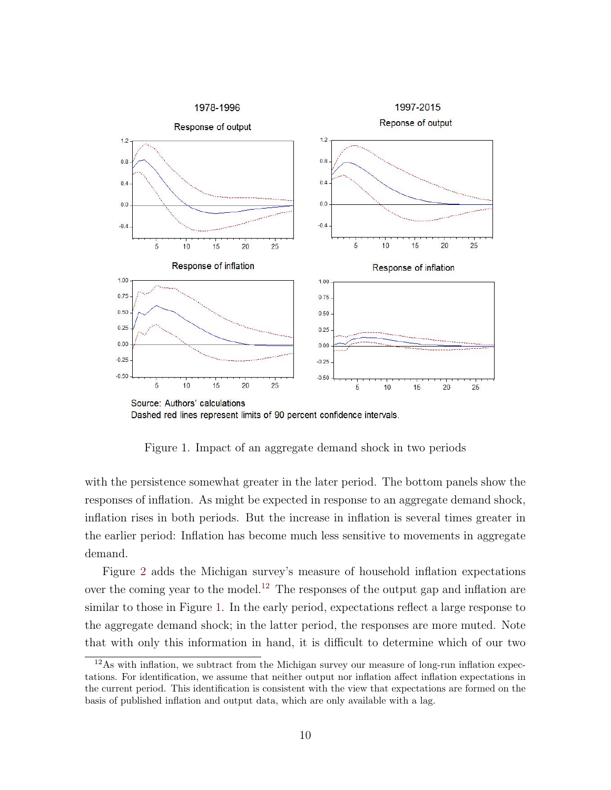

<span id="page-11-0"></span>Figure 1. Impact of an aggregate demand shock in two periods

with the persistence somewhat greater in the later period. The bottom panels show the responses of inflation. As might be expected in response to an aggregate demand shock, inflation rises in both periods. But the increase in inflation is several times greater in the earlier period: Inflation has become much less sensitive to movements in aggregate demand.

Figure [2](#page-13-0) adds the Michigan survey's measure of household inflation expectations over the coming year to the model.<sup>[12](#page-11-1)</sup> The responses of the output gap and inflation are similar to those in Figure [1.](#page-11-0) In the early period, expectations reflect a large response to the aggregate demand shock; in the latter period, the responses are more muted. Note that with only this information in hand, it is difficult to determine which of our two

<span id="page-11-1"></span><sup>12</sup>As with inflation, we subtract from the Michigan survey our measure of long-run inflation expectations. For identification, we assume that neither output nor inflation affect inflation expectations in the current period. This identification is consistent with the view that expectations are formed on the basis of published inflation and output data, which are only available with a lag.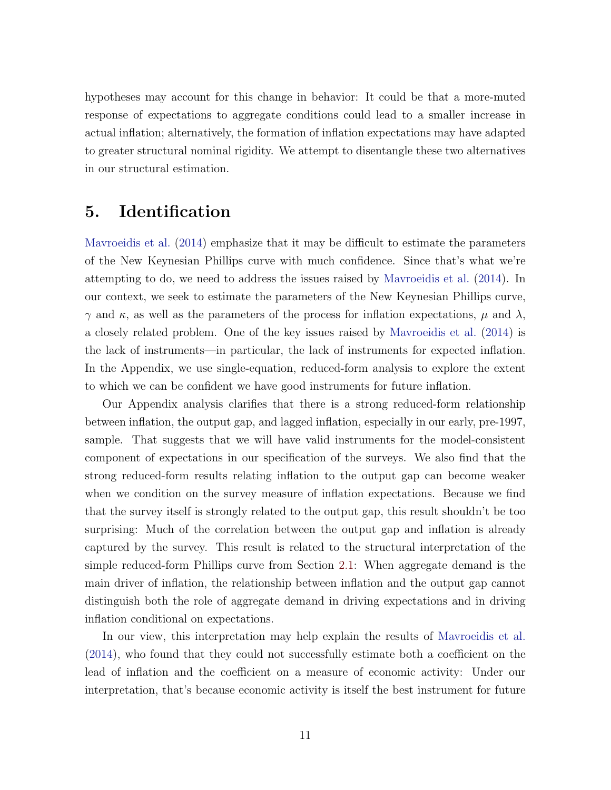hypotheses may account for this change in behavior: It could be that a more-muted response of expectations to aggregate conditions could lead to a smaller increase in actual inflation; alternatively, the formation of inflation expectations may have adapted to greater structural nominal rigidity. We attempt to disentangle these two alternatives in our structural estimation.

## <span id="page-12-0"></span>5. Identification

[Mavroeidis et al.](#page-29-0) [\(2014\)](#page-29-0) emphasize that it may be difficult to estimate the parameters of the New Keynesian Phillips curve with much confidence. Since that's what we're attempting to do, we need to address the issues raised by [Mavroeidis et al.](#page-29-0) [\(2014\)](#page-29-0). In our context, we seek to estimate the parameters of the New Keynesian Phillips curve,  $\gamma$  and  $\kappa$ , as well as the parameters of the process for inflation expectations,  $\mu$  and  $\lambda$ , a closely related problem. One of the key issues raised by [Mavroeidis et al.](#page-29-0) [\(2014\)](#page-29-0) is the lack of instruments—in particular, the lack of instruments for expected inflation. In the Appendix, we use single-equation, reduced-form analysis to explore the extent to which we can be confident we have good instruments for future inflation.

Our Appendix analysis clarifies that there is a strong reduced-form relationship between inflation, the output gap, and lagged inflation, especially in our early, pre-1997, sample. That suggests that we will have valid instruments for the model-consistent component of expectations in our specification of the surveys. We also find that the strong reduced-form results relating inflation to the output gap can become weaker when we condition on the survey measure of inflation expectations. Because we find that the survey itself is strongly related to the output gap, this result shouldn't be too surprising: Much of the correlation between the output gap and inflation is already captured by the survey. This result is related to the structural interpretation of the simple reduced-form Phillips curve from Section [2.1:](#page-5-3) When aggregate demand is the main driver of inflation, the relationship between inflation and the output gap cannot distinguish both the role of aggregate demand in driving expectations and in driving inflation conditional on expectations.

In our view, this interpretation may help explain the results of [Mavroeidis et al.](#page-29-0) [\(2014\)](#page-29-0), who found that they could not successfully estimate both a coefficient on the lead of inflation and the coefficient on a measure of economic activity: Under our interpretation, that's because economic activity is itself the best instrument for future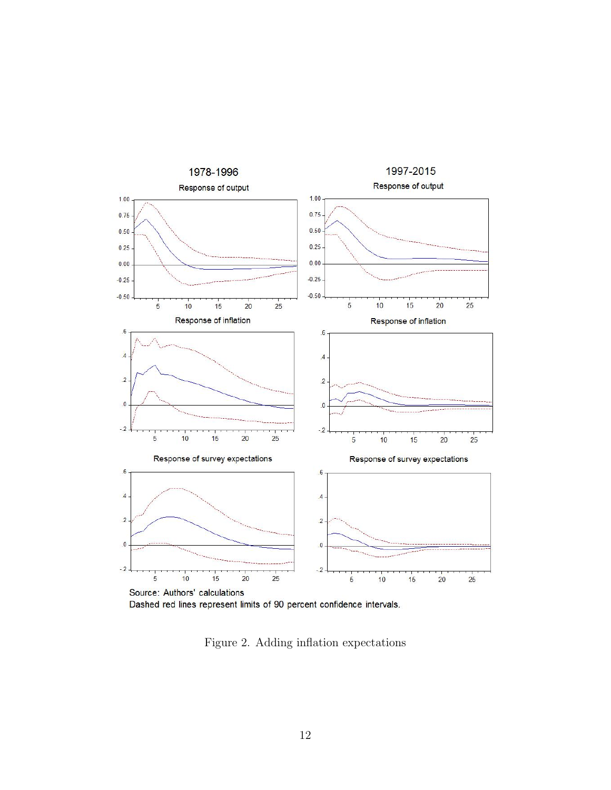

Dashed red lines represent limits of 90 percent confidence intervals.

<span id="page-13-0"></span>Figure 2. Adding inflation expectations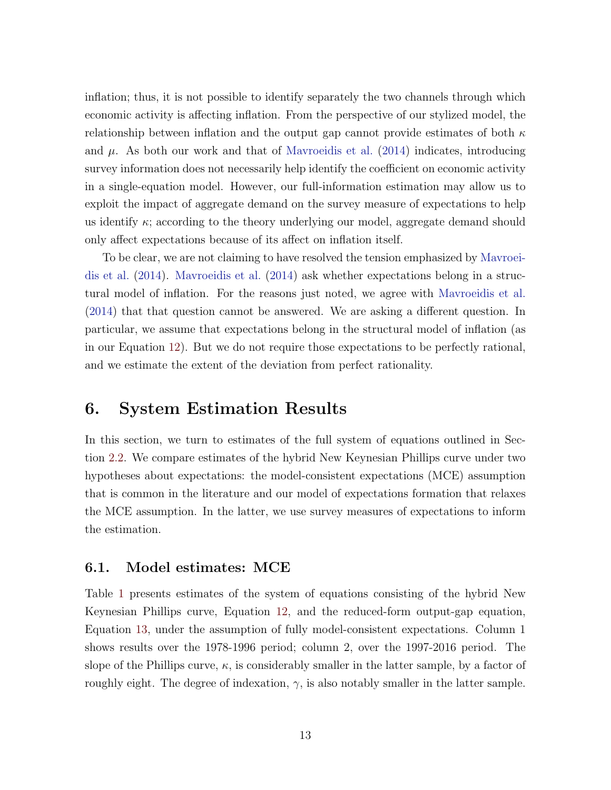inflation; thus, it is not possible to identify separately the two channels through which economic activity is affecting inflation. From the perspective of our stylized model, the relationship between inflation and the output gap cannot provide estimates of both  $\kappa$ and  $\mu$ . As both our work and that of [Mavroeidis et al.](#page-29-0) [\(2014\)](#page-29-0) indicates, introducing survey information does not necessarily help identify the coefficient on economic activity in a single-equation model. However, our full-information estimation may allow us to exploit the impact of aggregate demand on the survey measure of expectations to help us identify  $\kappa$ ; according to the theory underlying our model, aggregate demand should only affect expectations because of its affect on inflation itself.

To be clear, we are not claiming to have resolved the tension emphasized by [Mavroei](#page-29-0)[dis et al.](#page-29-0) [\(2014\)](#page-29-0). [Mavroeidis et al.](#page-29-0) [\(2014\)](#page-29-0) ask whether expectations belong in a structural model of inflation. For the reasons just noted, we agree with [Mavroeidis et al.](#page-29-0) [\(2014\)](#page-29-0) that that question cannot be answered. We are asking a different question. In particular, we assume that expectations belong in the structural model of inflation (as in our Equation [12\)](#page-8-5). But we do not require those expectations to be perfectly rational, and we estimate the extent of the deviation from perfect rationality.

### <span id="page-14-0"></span>6. System Estimation Results

In this section, we turn to estimates of the full system of equations outlined in Section [2.2.](#page-7-2) We compare estimates of the hybrid New Keynesian Phillips curve under two hypotheses about expectations: the model-consistent expectations (MCE) assumption that is common in the literature and our model of expectations formation that relaxes the MCE assumption. In the latter, we use survey measures of expectations to inform the estimation.

#### 6.1. Model estimates: MCE

Table [1](#page-15-0) presents estimates of the system of equations consisting of the hybrid New Keynesian Phillips curve, Equation [12,](#page-8-5) and the reduced-form output-gap equation, Equation [13,](#page-9-2) under the assumption of fully model-consistent expectations. Column 1 shows results over the 1978-1996 period; column 2, over the 1997-2016 period. The slope of the Phillips curve,  $\kappa$ , is considerably smaller in the latter sample, by a factor of roughly eight. The degree of indexation,  $\gamma$ , is also notably smaller in the latter sample.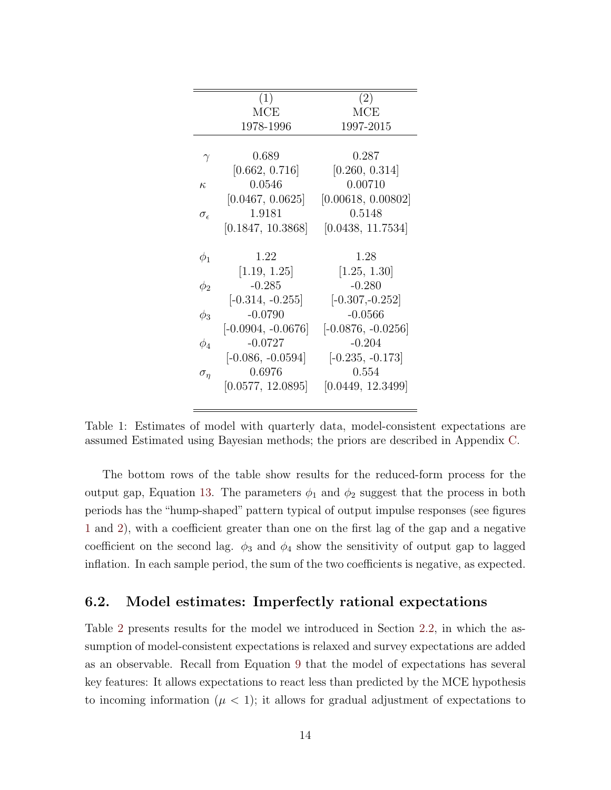|                     | (1)                  | (2)                  |
|---------------------|----------------------|----------------------|
|                     | MCE                  | MCE                  |
|                     | 1978-1996            | 1997-2015            |
|                     |                      |                      |
| $\gamma$            | 0.689                | 0.287                |
|                     | [0.662, 0.716]       | [0.260, 0.314]       |
| $\kappa$            | 0.0546               | 0.00710              |
|                     | [0.0467, 0.0625]     | [0.00618, 0.00802]   |
| $\sigma_{\epsilon}$ | 1.9181               | 0.5148               |
|                     | [0.1847, 10.3868]    | [0.0438, 11.7534]    |
|                     |                      |                      |
| $\phi_1$            | 1.22                 | 1.28                 |
|                     |                      |                      |
|                     | [1.19, 1.25]         | [1.25, 1.30]         |
| $\phi_2$            | $-0.285$             | $-0.280$             |
|                     | $[-0.314, -0.255]$   | $[-0.307, -0.252]$   |
| $\phi_3$            | $-0.0790$            | $-0.0566$            |
|                     | $[-0.0904, -0.0676]$ | $[-0.0876, -0.0256]$ |
| $\phi_4$            | $-0.0727$            | $-0.204$             |
|                     | $[-0.086, -0.0594]$  | $[-0.235, -0.173]$   |
| $\sigma_{\eta}$     | 0.6976               | 0.554                |
|                     | [0.0577, 12.0895]    | [0.0449, 12.3499]    |

<span id="page-15-0"></span>Table 1: Estimates of model with quarterly data, model-consistent expectations are assumed Estimated using Bayesian methods; the priors are described in Appendix [C.](#page-9-3)

The bottom rows of the table show results for the reduced-form process for the output gap, Equation [13.](#page-9-2) The parameters  $\phi_1$  and  $\phi_2$  suggest that the process in both periods has the "hump-shaped" pattern typical of output impulse responses (see figures [1](#page-11-0) and [2\)](#page-13-0), with a coefficient greater than one on the first lag of the gap and a negative coefficient on the second lag.  $\phi_3$  and  $\phi_4$  show the sensitivity of output gap to lagged inflation. In each sample period, the sum of the two coefficients is negative, as expected.

### <span id="page-15-1"></span>6.2. Model estimates: Imperfectly rational expectations

Table [2](#page-16-0) presents results for the model we introduced in Section [2.2,](#page-7-2) in which the assumption of model-consistent expectations is relaxed and survey expectations are added as an observable. Recall from Equation [9](#page-8-0) that the model of expectations has several key features: It allows expectations to react less than predicted by the MCE hypothesis to incoming information  $(\mu < 1)$ ; it allows for gradual adjustment of expectations to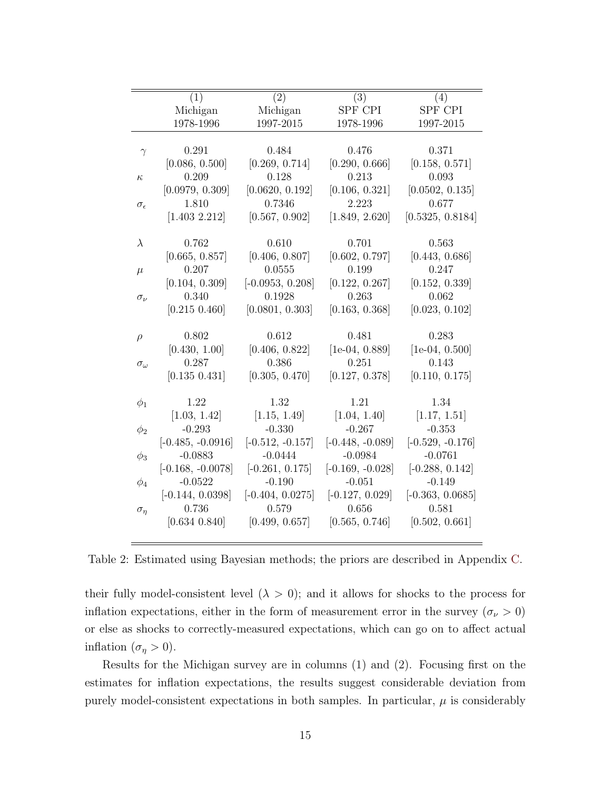|                     | (1)                 | (2)                | (3)                | (4)                |
|---------------------|---------------------|--------------------|--------------------|--------------------|
|                     | Michigan            | Michigan           | SPF CPI            | SPF CPI            |
|                     | 1978-1996           | 1997-2015          | 1978-1996          | 1997-2015          |
|                     |                     |                    |                    |                    |
| $\gamma$            | 0.291               | 0.484              | 0.476              | 0.371              |
|                     | [0.086, 0.500]      | [0.269, 0.714]     | [0.290, 0.666]     | [0.158, 0.571]     |
| $\kappa$            | 0.209               | 0.128              | 0.213              | 0.093              |
|                     | [0.0979, 0.309]     | [0.0620, 0.192]    | [0.106, 0.321]     | [0.0502, 0.135]    |
| $\sigma_{\epsilon}$ | 1.810               | 0.7346             | 2.223              | 0.677              |
|                     | [1.403 2.212]       | [0.567, 0.902]     | [1.849, 2.620]     | [0.5325, 0.8184]   |
|                     |                     |                    |                    |                    |
| $\lambda$           | 0.762               | 0.610              | 0.701              | 0.563              |
|                     | [0.665, 0.857]      | [0.406, 0.807]     | [0.602, 0.797]     | [0.443, 0.686]     |
| $\mu$               | 0.207               | 0.0555             | 0.199              | 0.247              |
|                     | [0.104, 0.309]      | $[-0.0953, 0.208]$ | [0.122, 0.267]     | [0.152, 0.339]     |
| $\sigma_{\nu}$      | 0.340               | 0.1928             | 0.263              | 0.062              |
|                     | [0.215 0.460]       | [0.0801, 0.303]    | [0.163, 0.368]     | [0.023, 0.102]     |
|                     |                     |                    |                    |                    |
| $\rho$              | 0.802               | 0.612              | 0.481              | 0.283              |
|                     | [0.430, 1.00]       | [0.406, 0.822]     | $[1e-04, 0.889]$   | $[1e-04, 0.500]$   |
| $\sigma_{\omega}$   | 0.287               | 0.386              | 0.251              | 0.143              |
|                     | [0.135 0.431]       | [0.305, 0.470]     | [0.127, 0.378]     | [0.110, 0.175]     |
|                     |                     |                    |                    |                    |
| $\phi_1$            | 1.22                | 1.32               | 1.21               | 1.34               |
|                     | [1.03, 1.42]        | [1.15, 1.49]       | [1.04, 1.40]       | [1.17, 1.51]       |
| $\phi_2$            | $-0.293$            | $-0.330$           | $-0.267$           | $-0.353$           |
|                     | $[-0.485, -0.0916]$ | $[-0.512, -0.157]$ | $[-0.448, -0.089]$ | $[-0.529, -0.176]$ |
| $\phi_3$            | $-0.0883$           | $-0.0444$          | $-0.0984$          | $-0.0761$          |
|                     | $[-0.168, -0.0078]$ | $[-0.261, 0.175]$  | $[-0.169, -0.028]$ | $[-0.288, 0.142]$  |
| $\phi_4$            | $-0.0522$           | $-0.190$           | $-0.051$           | $-0.149$           |
|                     | $[-0.144, 0.0398]$  | $[-0.404, 0.0275]$ | $[-0.127, 0.029]$  | $[-0.363, 0.0685]$ |
| $\sigma_n$          | 0.736               | 0.579              | 0.656              | 0.581              |
|                     | [0.634 0.840]       | [0.499, 0.657]     | [0.565, 0.746]     | [0.502, 0.661]     |
|                     |                     |                    |                    |                    |

<span id="page-16-0"></span>Table 2: Estimated using Bayesian methods; the priors are described in Appendix [C.](#page-9-3)

their fully model-consistent level  $(\lambda > 0)$ ; and it allows for shocks to the process for inflation expectations, either in the form of measurement error in the survey ( $\sigma_{\nu} > 0$ ) or else as shocks to correctly-measured expectations, which can go on to affect actual inflation  $(\sigma_{\eta} > 0)$ .

Results for the Michigan survey are in columns (1) and (2). Focusing first on the estimates for inflation expectations, the results suggest considerable deviation from purely model-consistent expectations in both samples. In particular,  $\mu$  is considerably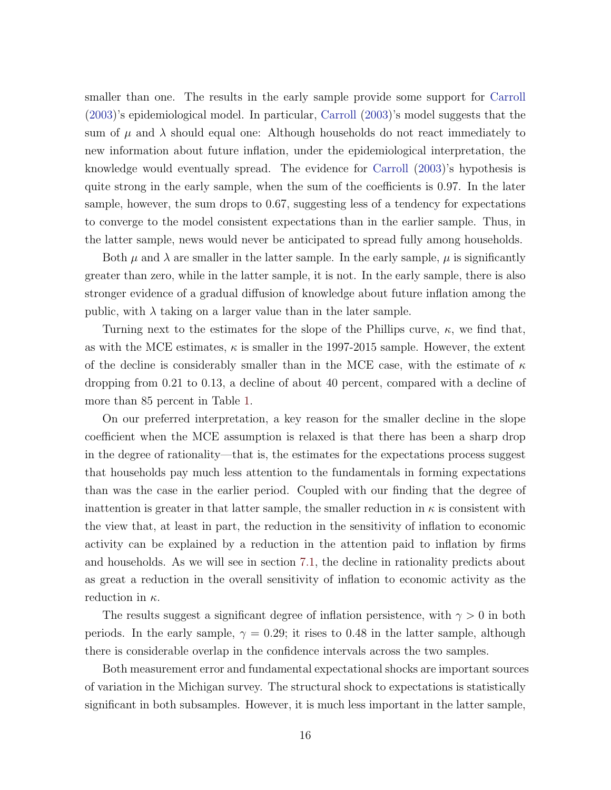smaller than one. The results in the early sample provide some support for [Carroll](#page-28-4) [\(2003\)](#page-28-4)'s epidemiological model. In particular, [Carroll](#page-28-4) [\(2003\)](#page-28-4)'s model suggests that the sum of  $\mu$  and  $\lambda$  should equal one: Although households do not react immediately to new information about future inflation, under the epidemiological interpretation, the knowledge would eventually spread. The evidence for [Carroll](#page-28-4) [\(2003\)](#page-28-4)'s hypothesis is quite strong in the early sample, when the sum of the coefficients is 0.97. In the later sample, however, the sum drops to 0.67, suggesting less of a tendency for expectations to converge to the model consistent expectations than in the earlier sample. Thus, in the latter sample, news would never be anticipated to spread fully among households.

Both  $\mu$  and  $\lambda$  are smaller in the latter sample. In the early sample,  $\mu$  is significantly greater than zero, while in the latter sample, it is not. In the early sample, there is also stronger evidence of a gradual diffusion of knowledge about future inflation among the public, with  $\lambda$  taking on a larger value than in the later sample.

Turning next to the estimates for the slope of the Phillips curve,  $\kappa$ , we find that, as with the MCE estimates,  $\kappa$  is smaller in the 1997-2015 sample. However, the extent of the decline is considerably smaller than in the MCE case, with the estimate of  $\kappa$ dropping from 0.21 to 0.13, a decline of about 40 percent, compared with a decline of more than 85 percent in Table [1.](#page-15-0)

On our preferred interpretation, a key reason for the smaller decline in the slope coefficient when the MCE assumption is relaxed is that there has been a sharp drop in the degree of rationality—that is, the estimates for the expectations process suggest that households pay much less attention to the fundamentals in forming expectations than was the case in the earlier period. Coupled with our finding that the degree of inattention is greater in that latter sample, the smaller reduction in  $\kappa$  is consistent with the view that, at least in part, the reduction in the sensitivity of inflation to economic activity can be explained by a reduction in the attention paid to inflation by firms and households. As we will see in section [7.1,](#page-22-0) the decline in rationality predicts about as great a reduction in the overall sensitivity of inflation to economic activity as the reduction in  $\kappa$ .

The results suggest a significant degree of inflation persistence, with  $\gamma > 0$  in both periods. In the early sample,  $\gamma = 0.29$ ; it rises to 0.48 in the latter sample, although there is considerable overlap in the confidence intervals across the two samples.

Both measurement error and fundamental expectational shocks are important sources of variation in the Michigan survey. The structural shock to expectations is statistically significant in both subsamples. However, it is much less important in the latter sample,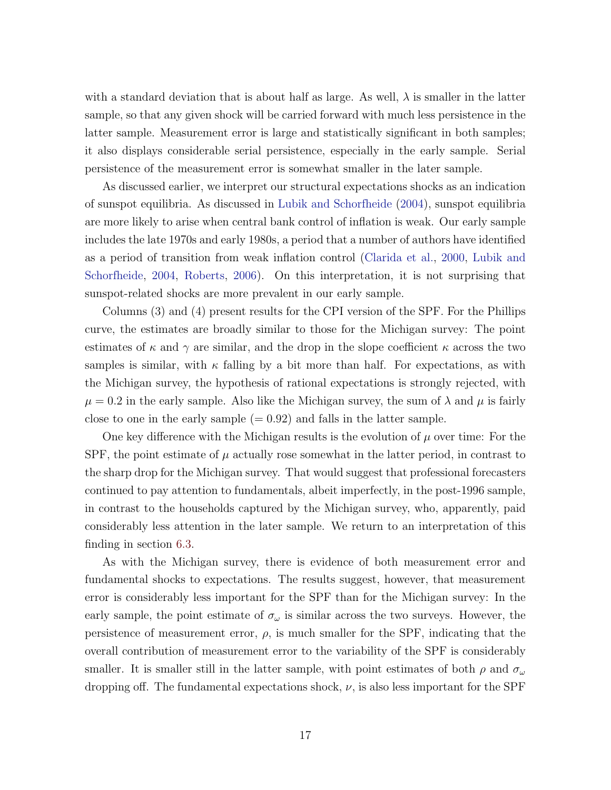with a standard deviation that is about half as large. As well,  $\lambda$  is smaller in the latter sample, so that any given shock will be carried forward with much less persistence in the latter sample. Measurement error is large and statistically significant in both samples; it also displays considerable serial persistence, especially in the early sample. Serial persistence of the measurement error is somewhat smaller in the later sample.

As discussed earlier, we interpret our structural expectations shocks as an indication of sunspot equilibria. As discussed in [Lubik and Schorfheide](#page-29-4) [\(2004\)](#page-29-4), sunspot equilibria are more likely to arise when central bank control of inflation is weak. Our early sample includes the late 1970s and early 1980s, a period that a number of authors have identified as a period of transition from weak inflation control [\(Clarida et al.,](#page-28-8) [2000,](#page-28-8) [Lubik and](#page-29-4) [Schorfheide,](#page-29-4) [2004,](#page-29-4) [Roberts,](#page-30-0) [2006\)](#page-30-0). On this interpretation, it is not surprising that sunspot-related shocks are more prevalent in our early sample.

Columns (3) and (4) present results for the CPI version of the SPF. For the Phillips curve, the estimates are broadly similar to those for the Michigan survey: The point estimates of  $\kappa$  and  $\gamma$  are similar, and the drop in the slope coefficient  $\kappa$  across the two samples is similar, with  $\kappa$  falling by a bit more than half. For expectations, as with the Michigan survey, the hypothesis of rational expectations is strongly rejected, with  $\mu = 0.2$  in the early sample. Also like the Michigan survey, the sum of  $\lambda$  and  $\mu$  is fairly close to one in the early sample  $(= 0.92)$  and falls in the latter sample.

One key difference with the Michigan results is the evolution of  $\mu$  over time: For the SPF, the point estimate of  $\mu$  actually rose somewhat in the latter period, in contrast to the sharp drop for the Michigan survey. That would suggest that professional forecasters continued to pay attention to fundamentals, albeit imperfectly, in the post-1996 sample, in contrast to the households captured by the Michigan survey, who, apparently, paid considerably less attention in the later sample. We return to an interpretation of this finding in section [6.3.](#page-19-0)

As with the Michigan survey, there is evidence of both measurement error and fundamental shocks to expectations. The results suggest, however, that measurement error is considerably less important for the SPF than for the Michigan survey: In the early sample, the point estimate of  $\sigma_{\omega}$  is similar across the two surveys. However, the persistence of measurement error,  $\rho$ , is much smaller for the SPF, indicating that the overall contribution of measurement error to the variability of the SPF is considerably smaller. It is smaller still in the latter sample, with point estimates of both  $\rho$  and  $\sigma_{\omega}$ dropping off. The fundamental expectations shock,  $\nu$ , is also less important for the SPF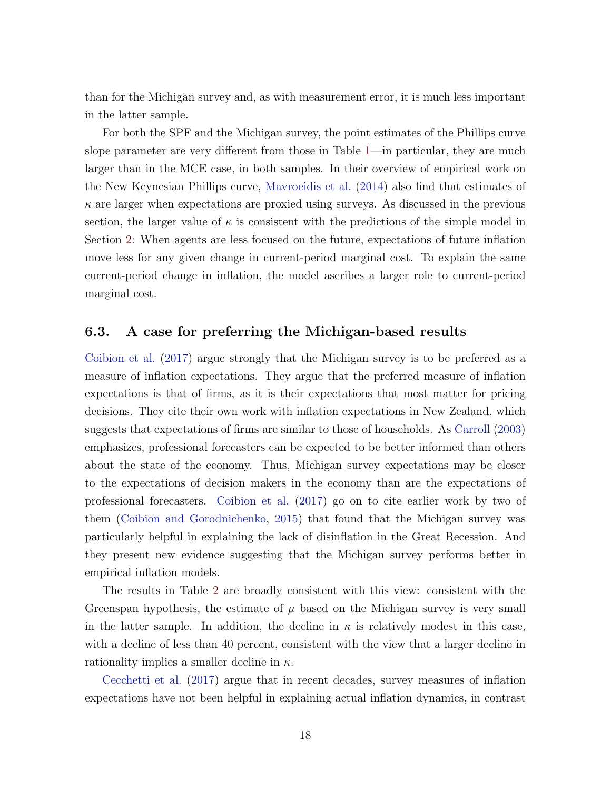than for the Michigan survey and, as with measurement error, it is much less important in the latter sample.

For both the SPF and the Michigan survey, the point estimates of the Phillips curve slope parameter are very different from those in Table [1—](#page-15-0)in particular, they are much larger than in the MCE case, in both samples. In their overview of empirical work on the New Keynesian Phillips curve, [Mavroeidis et al.](#page-29-0) [\(2014\)](#page-29-0) also find that estimates of  $\kappa$  are larger when expectations are proxied using surveys. As discussed in the previous section, the larger value of  $\kappa$  is consistent with the predictions of the simple model in Section [2:](#page-5-2) When agents are less focused on the future, expectations of future inflation move less for any given change in current-period marginal cost. To explain the same current-period change in inflation, the model ascribes a larger role to current-period marginal cost.

#### <span id="page-19-0"></span>6.3. A case for preferring the Michigan-based results

[Coibion et al.](#page-28-3) [\(2017\)](#page-28-3) argue strongly that the Michigan survey is to be preferred as a measure of inflation expectations. They argue that the preferred measure of inflation expectations is that of firms, as it is their expectations that most matter for pricing decisions. They cite their own work with inflation expectations in New Zealand, which suggests that expectations of firms are similar to those of households. As [Carroll](#page-28-4) [\(2003\)](#page-28-4) emphasizes, professional forecasters can be expected to be better informed than others about the state of the economy. Thus, Michigan survey expectations may be closer to the expectations of decision makers in the economy than are the expectations of professional forecasters. [Coibion et al.](#page-28-3) [\(2017\)](#page-28-3) go on to cite earlier work by two of them [\(Coibion and Gorodnichenko,](#page-28-5) [2015\)](#page-28-5) that found that the Michigan survey was particularly helpful in explaining the lack of disinflation in the Great Recession. And they present new evidence suggesting that the Michigan survey performs better in empirical inflation models.

The results in Table [2](#page-16-0) are broadly consistent with this view: consistent with the Greenspan hypothesis, the estimate of  $\mu$  based on the Michigan survey is very small in the latter sample. In addition, the decline in  $\kappa$  is relatively modest in this case, with a decline of less than 40 percent, consistent with the view that a larger decline in rationality implies a smaller decline in  $\kappa$ .

[Cecchetti et al.](#page-28-9) [\(2017\)](#page-28-9) argue that in recent decades, survey measures of inflation expectations have not been helpful in explaining actual inflation dynamics, in contrast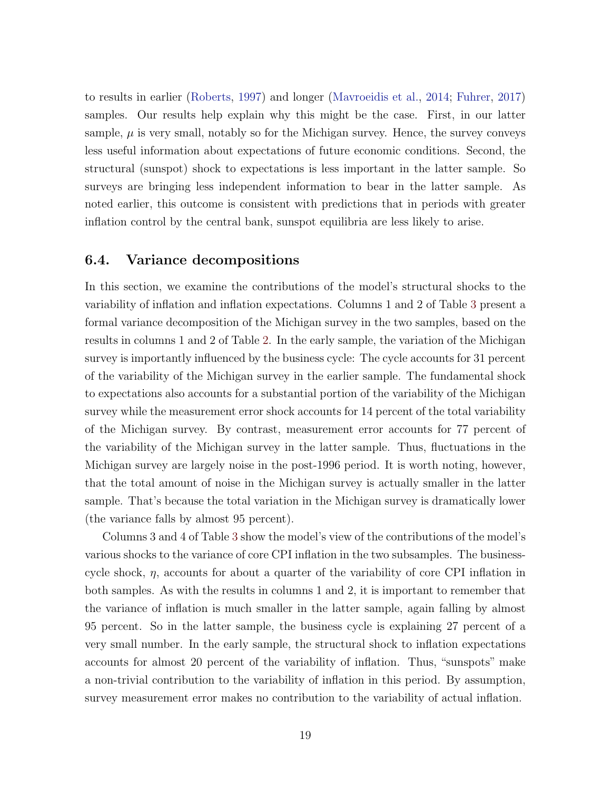to results in earlier [\(Roberts,](#page-30-2) [1997\)](#page-30-2) and longer [\(Mavroeidis et al.,](#page-29-0) [2014;](#page-29-0) [Fuhrer,](#page-29-1) [2017\)](#page-29-1) samples. Our results help explain why this might be the case. First, in our latter sample,  $\mu$  is very small, notably so for the Michigan survey. Hence, the survey conveys less useful information about expectations of future economic conditions. Second, the structural (sunspot) shock to expectations is less important in the latter sample. So surveys are bringing less independent information to bear in the latter sample. As noted earlier, this outcome is consistent with predictions that in periods with greater inflation control by the central bank, sunspot equilibria are less likely to arise.

#### 6.4. Variance decompositions

In this section, we examine the contributions of the model's structural shocks to the variability of inflation and inflation expectations. Columns 1 and 2 of Table [3](#page-21-0) present a formal variance decomposition of the Michigan survey in the two samples, based on the results in columns 1 and 2 of Table [2.](#page-16-0) In the early sample, the variation of the Michigan survey is importantly influenced by the business cycle: The cycle accounts for 31 percent of the variability of the Michigan survey in the earlier sample. The fundamental shock to expectations also accounts for a substantial portion of the variability of the Michigan survey while the measurement error shock accounts for 14 percent of the total variability of the Michigan survey. By contrast, measurement error accounts for 77 percent of the variability of the Michigan survey in the latter sample. Thus, fluctuations in the Michigan survey are largely noise in the post-1996 period. It is worth noting, however, that the total amount of noise in the Michigan survey is actually smaller in the latter sample. That's because the total variation in the Michigan survey is dramatically lower (the variance falls by almost 95 percent).

Columns 3 and 4 of Table [3](#page-21-0) show the model's view of the contributions of the model's various shocks to the variance of core CPI inflation in the two subsamples. The businesscycle shock,  $\eta$ , accounts for about a quarter of the variability of core CPI inflation in both samples. As with the results in columns 1 and 2, it is important to remember that the variance of inflation is much smaller in the latter sample, again falling by almost 95 percent. So in the latter sample, the business cycle is explaining 27 percent of a very small number. In the early sample, the structural shock to inflation expectations accounts for almost 20 percent of the variability of inflation. Thus, "sunspots" make a non-trivial contribution to the variability of inflation in this period. By assumption, survey measurement error makes no contribution to the variability of actual inflation.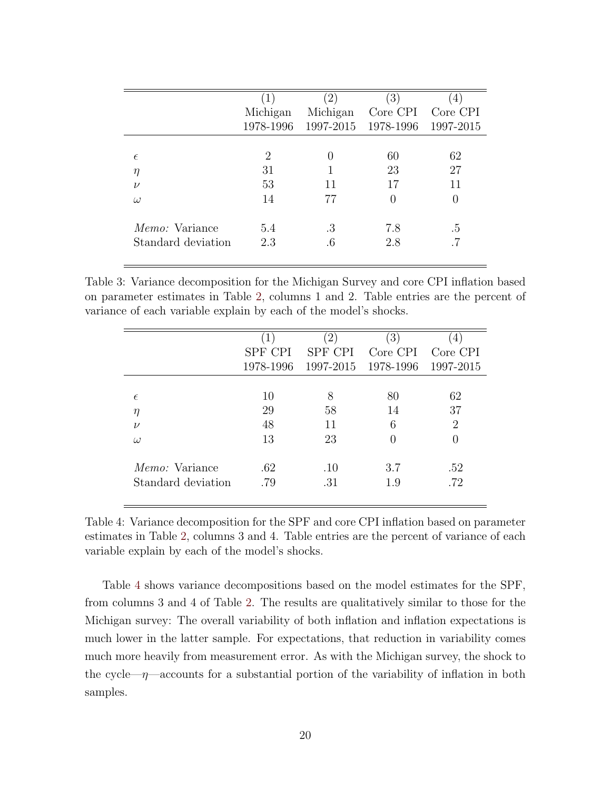| $1^{\circ}$                 | $\left( 2\right)$ | $\left(3\right)$ | $\left(4\right)$    |
|-----------------------------|-------------------|------------------|---------------------|
| Michigan                    | Michigan          | Core CPI         | Core CPI            |
|                             |                   | 1978-1996        | 1997-2015           |
|                             |                   |                  |                     |
| $\mathcal{D}_{\mathcal{L}}$ | $\left( \right)$  | 60               | 62                  |
| 31                          |                   | 23               | 27                  |
| 53                          | 11                | 17               | 11                  |
| 14                          | 77                |                  | 0                   |
| 5.4                         | .3                | 7.8              | .5                  |
| 2.3                         | .6                | 2.8              |                     |
|                             |                   |                  | 1978-1996 1997-2015 |

<span id="page-21-0"></span>Table 3: Variance decomposition for the Michigan Survey and core CPI inflation based on parameter estimates in Table [2,](#page-16-0) columns 1 and 2. Table entries are the percent of variance of each variable explain by each of the model's shocks.

|                       | $\left  \right $ | $\left(2\right)$ | $\left( 3\right)$ | $\left(4\right)$ |
|-----------------------|------------------|------------------|-------------------|------------------|
|                       | SPF CPI          | <b>SPF CPI</b>   | Core CPI          | Core CPI         |
|                       | 1978-1996        | 1997-2015        | 1978-1996         | 1997-2015        |
|                       |                  |                  |                   |                  |
| $\epsilon$            | 10               | 8                | 80                | 62               |
| $\eta$                | 29               | 58               | 14                | 37               |
| $\nu$                 | 48               | 11               | 6                 | 2                |
| $\omega$              | 13               | 23               |                   |                  |
| <i>Memo:</i> Variance | .62              | .10              | 3.7               | .52              |
| Standard deviation    | .79              | .31              | 1.9               | .72              |
|                       |                  |                  |                   |                  |

<span id="page-21-1"></span>Table 4: Variance decomposition for the SPF and core CPI inflation based on parameter estimates in Table [2,](#page-16-0) columns 3 and 4. Table entries are the percent of variance of each variable explain by each of the model's shocks.

Table [4](#page-21-1) shows variance decompositions based on the model estimates for the SPF, from columns 3 and 4 of Table [2.](#page-16-0) The results are qualitatively similar to those for the Michigan survey: The overall variability of both inflation and inflation expectations is much lower in the latter sample. For expectations, that reduction in variability comes much more heavily from measurement error. As with the Michigan survey, the shock to the cycle— $\eta$ —accounts for a substantial portion of the variability of inflation in both samples.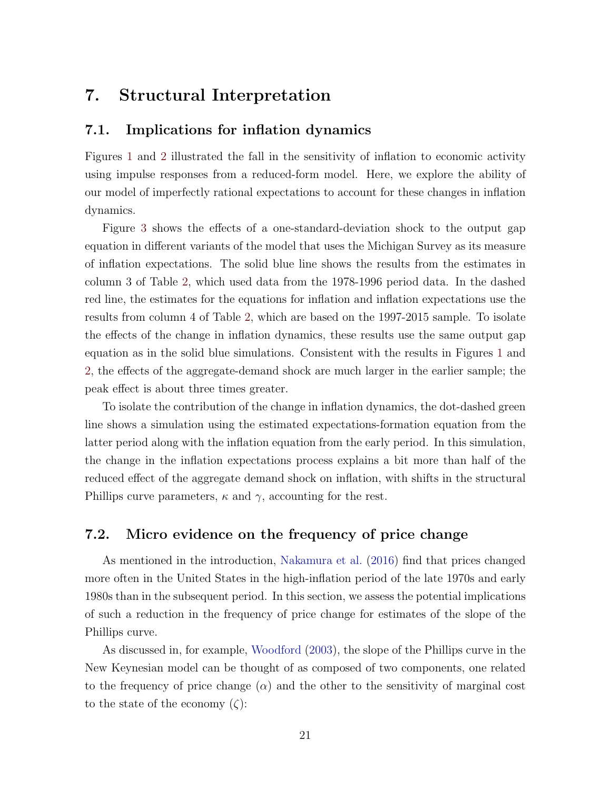## 7. Structural Interpretation

#### <span id="page-22-0"></span>7.1. Implications for inflation dynamics

Figures [1](#page-11-0) and [2](#page-13-0) illustrated the fall in the sensitivity of inflation to economic activity using impulse responses from a reduced-form model. Here, we explore the ability of our model of imperfectly rational expectations to account for these changes in inflation dynamics.

Figure [3](#page-23-0) shows the effects of a one-standard-deviation shock to the output gap equation in different variants of the model that uses the Michigan Survey as its measure of inflation expectations. The solid blue line shows the results from the estimates in column 3 of Table [2,](#page-16-0) which used data from the 1978-1996 period data. In the dashed red line, the estimates for the equations for inflation and inflation expectations use the results from column 4 of Table [2,](#page-16-0) which are based on the 1997-2015 sample. To isolate the effects of the change in inflation dynamics, these results use the same output gap equation as in the solid blue simulations. Consistent with the results in Figures [1](#page-11-0) and [2,](#page-13-0) the effects of the aggregate-demand shock are much larger in the earlier sample; the peak effect is about three times greater.

To isolate the contribution of the change in inflation dynamics, the dot-dashed green line shows a simulation using the estimated expectations-formation equation from the latter period along with the inflation equation from the early period. In this simulation, the change in the inflation expectations process explains a bit more than half of the reduced effect of the aggregate demand shock on inflation, with shifts in the structural Phillips curve parameters,  $\kappa$  and  $\gamma$ , accounting for the rest.

### 7.2. Micro evidence on the frequency of price change

As mentioned in the introduction, [Nakamura et al.](#page-30-4) [\(2016\)](#page-30-4) find that prices changed more often in the United States in the high-inflation period of the late 1970s and early 1980s than in the subsequent period. In this section, we assess the potential implications of such a reduction in the frequency of price change for estimates of the slope of the Phillips curve.

As discussed in, for example, [Woodford](#page-30-8) [\(2003\)](#page-30-8), the slope of the Phillips curve in the New Keynesian model can be thought of as composed of two components, one related to the frequency of price change  $(\alpha)$  and the other to the sensitivity of marginal cost to the state of the economy  $(\zeta)$ :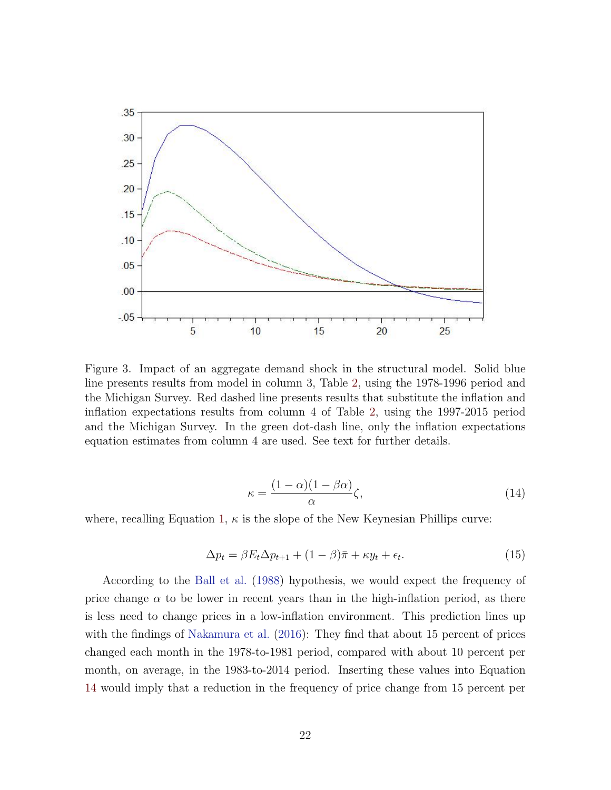

<span id="page-23-0"></span>Figure 3. Impact of an aggregate demand shock in the structural model. Solid blue line presents results from model in column 3, Table [2,](#page-16-0) using the 1978-1996 period and the Michigan Survey. Red dashed line presents results that substitute the inflation and inflation expectations results from column 4 of Table [2,](#page-16-0) using the 1997-2015 period and the Michigan Survey. In the green dot-dash line, only the inflation expectations equation estimates from column 4 are used. See text for further details.

<span id="page-23-1"></span>
$$
\kappa = \frac{(1 - \alpha)(1 - \beta \alpha)}{\alpha} \zeta,\tag{14}
$$

where, recalling Equation [1,](#page-5-1)  $\kappa$  is the slope of the New Keynesian Phillips curve:

$$
\Delta p_t = \beta E_t \Delta p_{t+1} + (1 - \beta)\bar{\pi} + \kappa y_t + \epsilon_t.
$$
\n(15)

According to the [Ball et al.](#page-28-2) [\(1988\)](#page-28-2) hypothesis, we would expect the frequency of price change  $\alpha$  to be lower in recent years than in the high-inflation period, as there is less need to change prices in a low-inflation environment. This prediction lines up with the findings of [Nakamura et al.](#page-30-4) [\(2016\)](#page-30-4): They find that about 15 percent of prices changed each month in the 1978-to-1981 period, compared with about 10 percent per month, on average, in the 1983-to-2014 period. Inserting these values into Equation [14](#page-23-1) would imply that a reduction in the frequency of price change from 15 percent per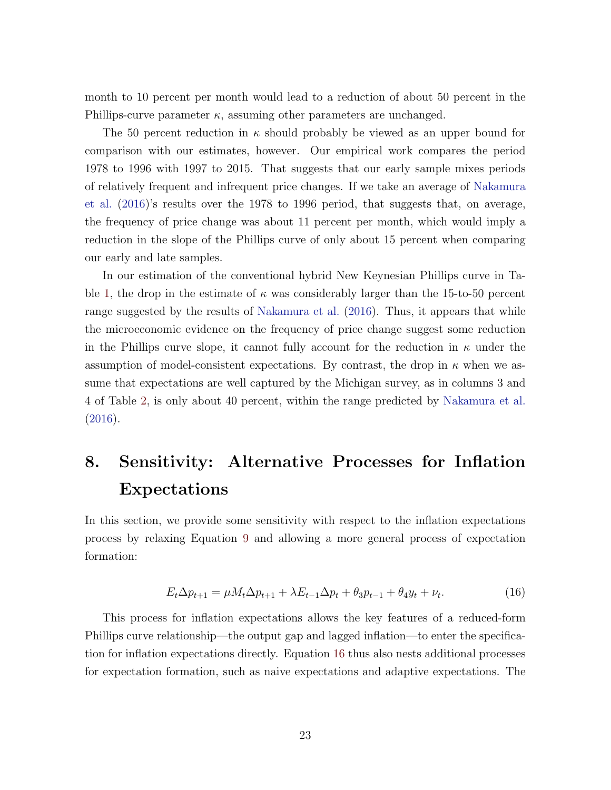month to 10 percent per month would lead to a reduction of about 50 percent in the Phillips-curve parameter  $\kappa$ , assuming other parameters are unchanged.

The 50 percent reduction in  $\kappa$  should probably be viewed as an upper bound for comparison with our estimates, however. Our empirical work compares the period 1978 to 1996 with 1997 to 2015. That suggests that our early sample mixes periods of relatively frequent and infrequent price changes. If we take an average of [Nakamura](#page-30-4) [et al.](#page-30-4) [\(2016\)](#page-30-4)'s results over the 1978 to 1996 period, that suggests that, on average, the frequency of price change was about 11 percent per month, which would imply a reduction in the slope of the Phillips curve of only about 15 percent when comparing our early and late samples.

In our estimation of the conventional hybrid New Keynesian Phillips curve in Ta-ble [1,](#page-15-0) the drop in the estimate of  $\kappa$  was considerably larger than the 15-to-50 percent range suggested by the results of [Nakamura et al.](#page-30-4) [\(2016\)](#page-30-4). Thus, it appears that while the microeconomic evidence on the frequency of price change suggest some reduction in the Phillips curve slope, it cannot fully account for the reduction in  $\kappa$  under the assumption of model-consistent expectations. By contrast, the drop in  $\kappa$  when we assume that expectations are well captured by the Michigan survey, as in columns 3 and 4 of Table [2,](#page-16-0) is only about 40 percent, within the range predicted by [Nakamura et al.](#page-30-4) [\(2016\)](#page-30-4).

# 8. Sensitivity: Alternative Processes for Inflation Expectations

In this section, we provide some sensitivity with respect to the inflation expectations process by relaxing Equation [9](#page-8-0) and allowing a more general process of expectation formation:

<span id="page-24-0"></span>
$$
E_t \Delta p_{t+1} = \mu M_t \Delta p_{t+1} + \lambda E_{t-1} \Delta p_t + \theta_3 p_{t-1} + \theta_4 y_t + \nu_t.
$$
 (16)

This process for inflation expectations allows the key features of a reduced-form Phillips curve relationship—the output gap and lagged inflation—to enter the specification for inflation expectations directly. Equation [16](#page-24-0) thus also nests additional processes for expectation formation, such as naive expectations and adaptive expectations. The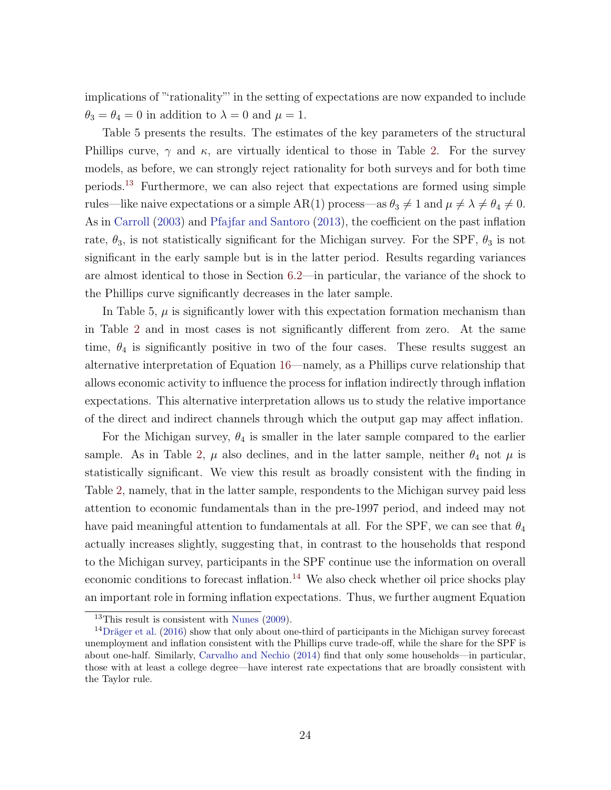implications of "'rationality"' in the setting of expectations are now expanded to include  $\theta_3 = \theta_4 = 0$  in addition to  $\lambda = 0$  and  $\mu = 1$ .

Table 5 presents the results. The estimates of the key parameters of the structural Phillips curve,  $\gamma$  and  $\kappa$ , are virtually identical to those in Table [2.](#page-16-0) For the survey models, as before, we can strongly reject rationality for both surveys and for both time periods.[13](#page-25-0) Furthermore, we can also reject that expectations are formed using simple rules—like naive expectations or a simple AR(1) process—as  $\theta_3 \neq 1$  and  $\mu \neq \lambda \neq \theta_4 \neq 0$ . As in [Carroll](#page-28-4) [\(2003\)](#page-28-4) and [Pfajfar and Santoro](#page-30-9) [\(2013\)](#page-30-9), the coefficient on the past inflation rate,  $\theta_3$ , is not statistically significant for the Michigan survey. For the SPF,  $\theta_3$  is not significant in the early sample but is in the latter period. Results regarding variances are almost identical to those in Section [6.2—](#page-15-1)in particular, the variance of the shock to the Phillips curve significantly decreases in the later sample.

In Table 5,  $\mu$  is significantly lower with this expectation formation mechanism than in Table [2](#page-16-0) and in most cases is not significantly different from zero. At the same time,  $\theta_4$  is significantly positive in two of the four cases. These results suggest an alternative interpretation of Equation [16—](#page-24-0)namely, as a Phillips curve relationship that allows economic activity to influence the process for inflation indirectly through inflation expectations. This alternative interpretation allows us to study the relative importance of the direct and indirect channels through which the output gap may affect inflation.

For the Michigan survey,  $\theta_4$  is smaller in the later sample compared to the earlier sample. As in Table [2,](#page-16-0)  $\mu$  also declines, and in the latter sample, neither  $\theta_4$  not  $\mu$  is statistically significant. We view this result as broadly consistent with the finding in Table [2,](#page-16-0) namely, that in the latter sample, respondents to the Michigan survey paid less attention to economic fundamentals than in the pre-1997 period, and indeed may not have paid meaningful attention to fundamentals at all. For the SPF, we can see that  $\theta_4$ actually increases slightly, suggesting that, in contrast to the households that respond to the Michigan survey, participants in the SPF continue use the information on overall economic conditions to forecast inflation.<sup>[14](#page-25-1)</sup> We also check whether oil price shocks play an important role in forming inflation expectations. Thus, we further augment Equation

<span id="page-25-1"></span><span id="page-25-0"></span> $13$ This result is consistent with [Nunes](#page-30-10) [\(2009\)](#page-30-10).

 $14$ Dräger et al. [\(2016\)](#page-29-9) show that only about one-third of participants in the Michigan survey forecast unemployment and inflation consistent with the Phillips curve trade-off, while the share for the SPF is about one-half. Similarly, [Carvalho and Nechio](#page-28-10) [\(2014\)](#page-28-10) find that only some households—in particular, those with at least a college degree—have interest rate expectations that are broadly consistent with the Taylor rule.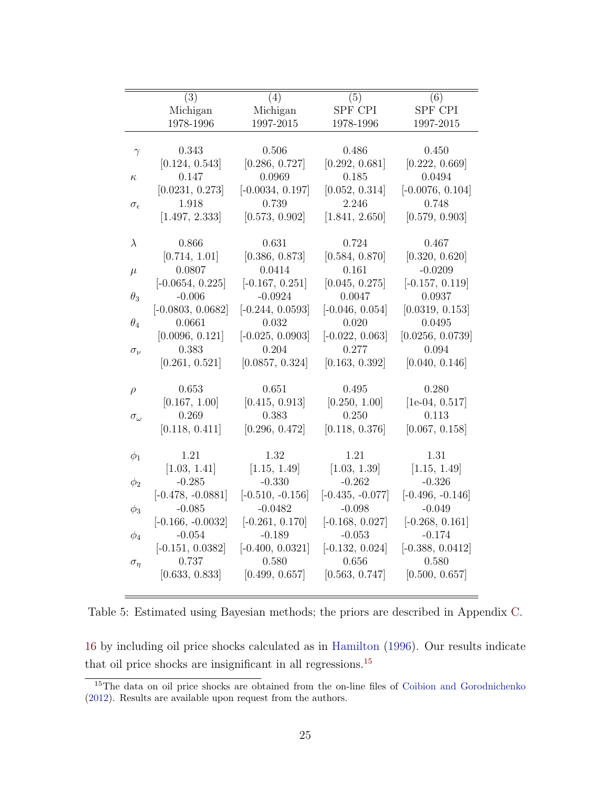|                     | (3)                 | (4)                | (5)                | (6)                |
|---------------------|---------------------|--------------------|--------------------|--------------------|
|                     | Michigan            | Michigan           | SPF CPI            | SPF CPI            |
|                     | 1978-1996           | 1997-2015          | 1978-1996          | 1997-2015          |
|                     |                     |                    |                    |                    |
| $\gamma$            | 0.343               | 0.506              | 0.486              | 0.450              |
|                     | [0.124, 0.543]      | [0.286, 0.727]     | [0.292, 0.681]     | [0.222, 0.669]     |
| $\kappa$            | 0.147               | 0.0969             | 0.185              | 0.0494             |
|                     | [0.0231, 0.273]     | $[-0.0034, 0.197]$ | [0.052, 0.314]     | $[-0.0076, 0.104]$ |
| $\sigma_{\epsilon}$ | 1.918               | 0.739              | 2.246              | 0.748              |
|                     | [1.497, 2.333]      | [0.573, 0.902]     | [1.841, 2.650]     | [0.579, 0.903]     |
|                     |                     |                    |                    |                    |
| $\lambda$           | 0.866               | 0.631              | 0.724              | 0.467              |
|                     | [0.714, 1.01]       | [0.386, 0.873]     | [0.584, 0.870]     | [0.320, 0.620]     |
| $\mu$               | 0.0807              | 0.0414             | 0.161              | $-0.0209$          |
|                     | $[-0.0654, 0.225]$  | $[-0.167, 0.251]$  | [0.045, 0.275]     | $[-0.157, 0.119]$  |
| $\theta_3$          | $-0.006$            | $-0.0924$          | 0.0047             | 0.0937             |
|                     | $[-0.0803, 0.0682]$ | $[-0.244, 0.0593]$ | $[-0.046, 0.054]$  | [0.0319, 0.153]    |
| $\theta_4$          | 0.0661              | 0.032              | 0.020              | 0.0495             |
|                     | [0.0096, 0.121]     | $[-0.025, 0.0903]$ | $[-0.022, 0.063]$  | [0.0256, 0.0739]   |
| $\sigma_{\nu}$      | 0.383               | 0.204              | 0.277              | 0.094              |
|                     | [0.261, 0.521]      | [0.0857, 0.324]    | [0.163, 0.392]     | [0.040, 0.146]     |
|                     |                     |                    |                    |                    |
| $\rho$              | 0.653               | 0.651              | 0.495              | 0.280              |
|                     | [0.167, 1.00]       | [0.415, 0.913]     | [0.250, 1.00]      | $[1e-04, 0.517]$   |
| $\sigma_{\omega}$   | 0.269               | 0.383              | 0.250              | 0.113              |
|                     | [0.118, 0.411]      | [0.296, 0.472]     | [0.118, 0.376]     | [0.067, 0.158]     |
|                     | 1.21                | 1.32               | 1.21               | 1.31               |
| $\phi_1$            | [1.03, 1.41]        | [1.15, 1.49]       | [1.03, 1.39]       | [1.15, 1.49]       |
|                     | $-0.285$            | $-0.330$           | $-0.262$           | $-0.326$           |
| $\phi_2$            | $[-0.478, -0.0881]$ | $[-0.510, -0.156]$ | $[-0.435, -0.077]$ | $[-0.496, -0.146]$ |
|                     | $-0.085$            | $-0.0482$          | $-0.098$           | $-0.049$           |
| $\phi_3$            | $[-0.166, -0.0032]$ | $[-0.261, 0.170]$  | $[-0.168, 0.027]$  | $[-0.268, 0.161]$  |
| $\phi_4$            | $-0.054$            | $-0.189$           | $-0.053$           | $-0.174$           |
|                     | $[-0.151, 0.0382]$  | $[-0.400, 0.0321]$ | $[-0.132, 0.024]$  | $[-0.388, 0.0412]$ |
| $\sigma_{\eta}$     | 0.737               | 0.580              | 0.656              | 0.580              |
|                     | [0.633, 0.833]      | [0.499, 0.657]     | [0.563, 0.747]     | [0.500, 0.657]     |
|                     |                     |                    |                    |                    |

Table 5: Estimated using Bayesian methods; the priors are described in Appendix [C.](#page-9-3)

[16](#page-24-0) by including oil price shocks calculated as in [Hamilton](#page-29-10) [\(1996\)](#page-29-10). Our results indicate that oil price shocks are insignificant in all regressions.[15](#page-26-0)

<span id="page-26-0"></span><sup>&</sup>lt;sup>15</sup>The data on oil price shocks are obtained from the on-line files of [Coibion and Gorodnichenko](#page-28-11) [\(2012\)](#page-28-11). Results are available upon request from the authors.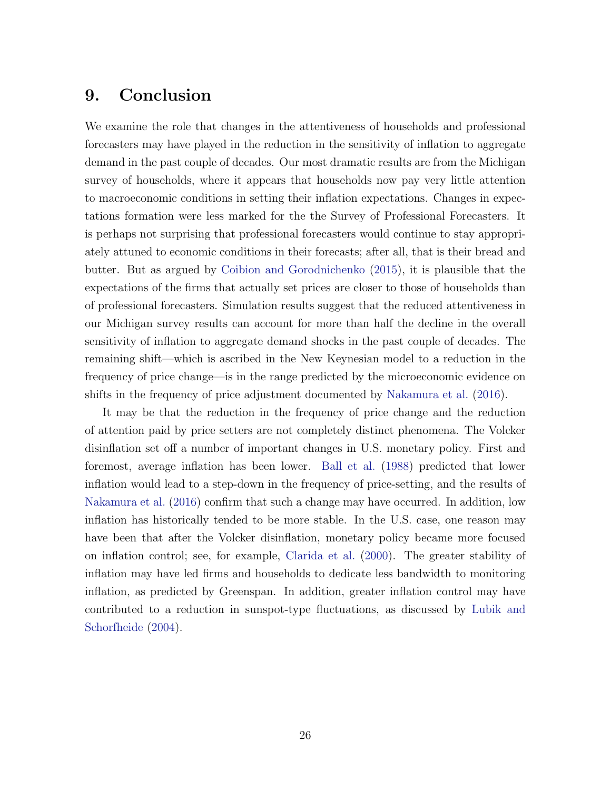# 9. Conclusion

We examine the role that changes in the attentiveness of households and professional forecasters may have played in the reduction in the sensitivity of inflation to aggregate demand in the past couple of decades. Our most dramatic results are from the Michigan survey of households, where it appears that households now pay very little attention to macroeconomic conditions in setting their inflation expectations. Changes in expectations formation were less marked for the the Survey of Professional Forecasters. It is perhaps not surprising that professional forecasters would continue to stay appropriately attuned to economic conditions in their forecasts; after all, that is their bread and butter. But as argued by [Coibion and Gorodnichenko](#page-28-5) [\(2015\)](#page-28-5), it is plausible that the expectations of the firms that actually set prices are closer to those of households than of professional forecasters. Simulation results suggest that the reduced attentiveness in our Michigan survey results can account for more than half the decline in the overall sensitivity of inflation to aggregate demand shocks in the past couple of decades. The remaining shift—which is ascribed in the New Keynesian model to a reduction in the frequency of price change—is in the range predicted by the microeconomic evidence on shifts in the frequency of price adjustment documented by [Nakamura et al.](#page-30-4) [\(2016\)](#page-30-4).

It may be that the reduction in the frequency of price change and the reduction of attention paid by price setters are not completely distinct phenomena. The Volcker disinflation set off a number of important changes in U.S. monetary policy. First and foremost, average inflation has been lower. [Ball et al.](#page-28-2) [\(1988\)](#page-28-2) predicted that lower inflation would lead to a step-down in the frequency of price-setting, and the results of [Nakamura et al.](#page-30-4) [\(2016\)](#page-30-4) confirm that such a change may have occurred. In addition, low inflation has historically tended to be more stable. In the U.S. case, one reason may have been that after the Volcker disinflation, monetary policy became more focused on inflation control; see, for example, [Clarida et al.](#page-28-8) [\(2000\)](#page-28-8). The greater stability of inflation may have led firms and households to dedicate less bandwidth to monitoring inflation, as predicted by Greenspan. In addition, greater inflation control may have contributed to a reduction in sunspot-type fluctuations, as discussed by [Lubik and](#page-29-4) [Schorfheide](#page-29-4) [\(2004\)](#page-29-4).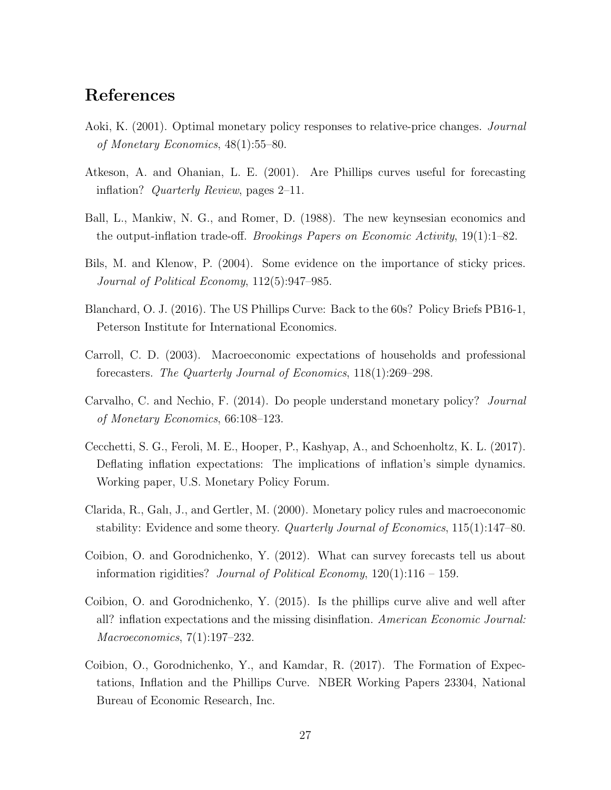# References

- <span id="page-28-7"></span>Aoki, K. (2001). Optimal monetary policy responses to relative-price changes. Journal of Monetary Economics, 48(1):55–80.
- <span id="page-28-0"></span>Atkeson, A. and Ohanian, L. E. (2001). Are Phillips curves useful for forecasting inflation? Quarterly Review, pages 2–11.
- <span id="page-28-2"></span>Ball, L., Mankiw, N. G., and Romer, D. (1988). The new keynsesian economics and the output-inflation trade-off. Brookings Papers on Economic Activity, 19(1):1–82.
- <span id="page-28-6"></span>Bils, M. and Klenow, P. (2004). Some evidence on the importance of sticky prices. Journal of Political Economy, 112(5):947–985.
- <span id="page-28-1"></span>Blanchard, O. J. (2016). The US Phillips Curve: Back to the 60s? Policy Briefs PB16-1, Peterson Institute for International Economics.
- <span id="page-28-4"></span>Carroll, C. D. (2003). Macroeconomic expectations of households and professional forecasters. The Quarterly Journal of Economics, 118(1):269–298.
- <span id="page-28-10"></span>Carvalho, C. and Nechio, F. (2014). Do people understand monetary policy? Journal of Monetary Economics, 66:108–123.
- <span id="page-28-9"></span>Cecchetti, S. G., Feroli, M. E., Hooper, P., Kashyap, A., and Schoenholtz, K. L. (2017). Deflating inflation expectations: The implications of inflation's simple dynamics. Working paper, U.S. Monetary Policy Forum.
- <span id="page-28-8"></span>Clarida, R., Galı, J., and Gertler, M. (2000). Monetary policy rules and macroeconomic stability: Evidence and some theory. Quarterly Journal of Economics, 115(1):147–80.
- <span id="page-28-11"></span>Coibion, O. and Gorodnichenko, Y. (2012). What can survey forecasts tell us about information rigidities? Journal of Political Economy,  $120(1):116 - 159$ .
- <span id="page-28-5"></span>Coibion, O. and Gorodnichenko, Y. (2015). Is the phillips curve alive and well after all? inflation expectations and the missing disinflation. American Economic Journal: Macroeconomics, 7(1):197–232.
- <span id="page-28-3"></span>Coibion, O., Gorodnichenko, Y., and Kamdar, R. (2017). The Formation of Expectations, Inflation and the Phillips Curve. NBER Working Papers 23304, National Bureau of Economic Research, Inc.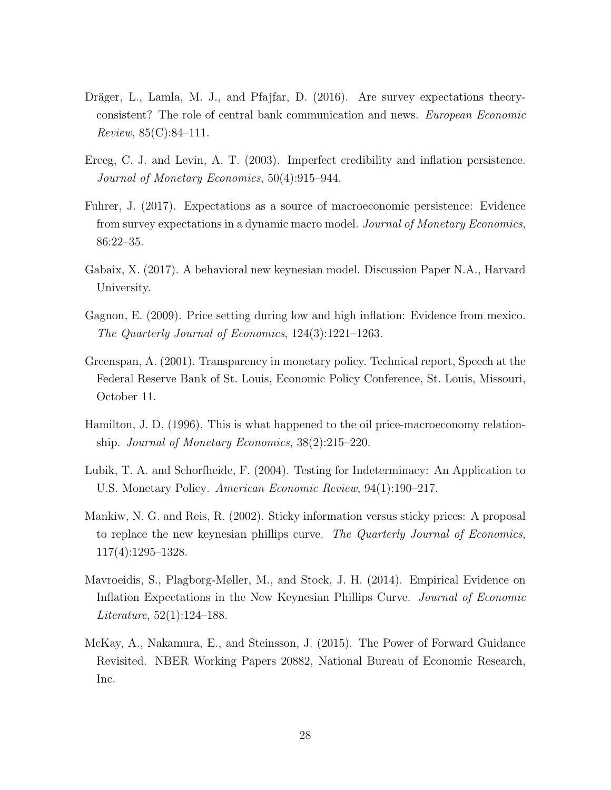- <span id="page-29-9"></span>Dräger, L., Lamla, M. J., and Pfajfar, D. (2016). Are survey expectations theoryconsistent? The role of central bank communication and news. European Economic Review, 85(C):84–111.
- <span id="page-29-8"></span>Erceg, C. J. and Levin, A. T. (2003). Imperfect credibility and inflation persistence. Journal of Monetary Economics, 50(4):915–944.
- <span id="page-29-1"></span>Fuhrer, J. (2017). Expectations as a source of macroeconomic persistence: Evidence from survey expectations in a dynamic macro model. Journal of Monetary Economics, 86:22–35.
- <span id="page-29-6"></span>Gabaix, X. (2017). A behavioral new keynesian model. Discussion Paper N.A., Harvard University.
- <span id="page-29-5"></span>Gagnon, E. (2009). Price setting during low and high inflation: Evidence from mexico. The Quarterly Journal of Economics, 124(3):1221–1263.
- <span id="page-29-3"></span>Greenspan, A. (2001). Transparency in monetary policy. Technical report, Speech at the Federal Reserve Bank of St. Louis, Economic Policy Conference, St. Louis, Missouri, October 11.
- <span id="page-29-10"></span>Hamilton, J. D. (1996). This is what happened to the oil price-macroeconomy relationship. Journal of Monetary Economics, 38(2):215–220.
- <span id="page-29-4"></span>Lubik, T. A. and Schorfheide, F. (2004). Testing for Indeterminacy: An Application to U.S. Monetary Policy. American Economic Review, 94(1):190–217.
- <span id="page-29-2"></span>Mankiw, N. G. and Reis, R. (2002). Sticky information versus sticky prices: A proposal to replace the new keynesian phillips curve. The Quarterly Journal of Economics, 117(4):1295–1328.
- <span id="page-29-0"></span>Mavroeidis, S., Plagborg-Møller, M., and Stock, J. H. (2014). Empirical Evidence on Inflation Expectations in the New Keynesian Phillips Curve. Journal of Economic Literature, 52(1):124–188.
- <span id="page-29-7"></span>McKay, A., Nakamura, E., and Steinsson, J. (2015). The Power of Forward Guidance Revisited. NBER Working Papers 20882, National Bureau of Economic Research, Inc.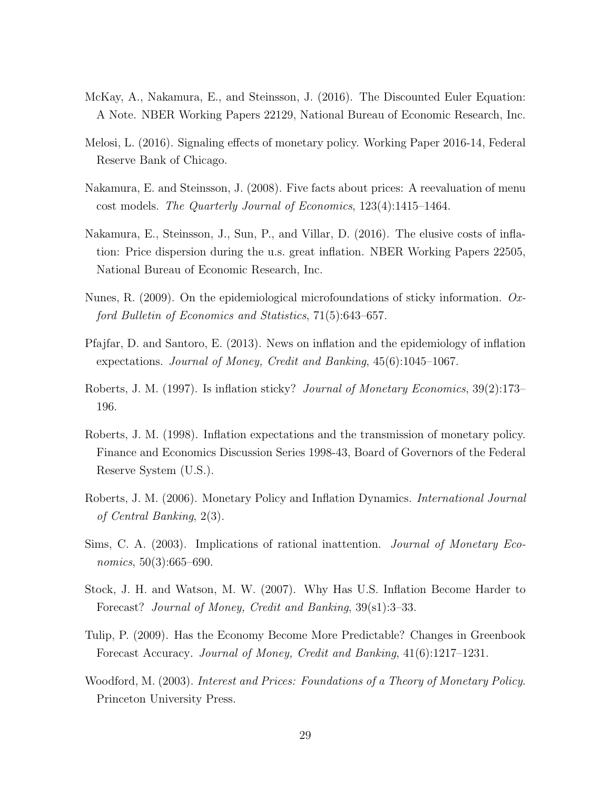- <span id="page-30-5"></span>McKay, A., Nakamura, E., and Steinsson, J. (2016). The Discounted Euler Equation: A Note. NBER Working Papers 22129, National Bureau of Economic Research, Inc.
- <span id="page-30-6"></span>Melosi, L. (2016). Signaling effects of monetary policy. Working Paper 2016-14, Federal Reserve Bank of Chicago.
- <span id="page-30-3"></span>Nakamura, E. and Steinsson, J. (2008). Five facts about prices: A reevaluation of menu cost models. The Quarterly Journal of Economics, 123(4):1415–1464.
- <span id="page-30-4"></span>Nakamura, E., Steinsson, J., Sun, P., and Villar, D. (2016). The elusive costs of inflation: Price dispersion during the u.s. great inflation. NBER Working Papers 22505, National Bureau of Economic Research, Inc.
- <span id="page-30-10"></span>Nunes, R. (2009). On the epidemiological microfoundations of sticky information. Oxford Bulletin of Economics and Statistics, 71(5):643–657.
- <span id="page-30-9"></span>Pfajfar, D. and Santoro, E. (2013). News on inflation and the epidemiology of inflation expectations. Journal of Money, Credit and Banking, 45(6):1045–1067.
- <span id="page-30-2"></span>Roberts, J. M. (1997). Is inflation sticky? Journal of Monetary Economics, 39(2):173– 196.
- <span id="page-30-12"></span>Roberts, J. M. (1998). Inflation expectations and the transmission of monetary policy. Finance and Economics Discussion Series 1998-43, Board of Governors of the Federal Reserve System (U.S.).
- <span id="page-30-0"></span>Roberts, J. M. (2006). Monetary Policy and Inflation Dynamics. International Journal of Central Banking, 2(3).
- <span id="page-30-1"></span>Sims, C. A. (2003). Implications of rational inattention. Journal of Monetary Economics, 50(3):665–690.
- <span id="page-30-7"></span>Stock, J. H. and Watson, M. W. (2007). Why Has U.S. Inflation Become Harder to Forecast? Journal of Money, Credit and Banking, 39(s1):3–33.
- <span id="page-30-11"></span>Tulip, P. (2009). Has the Economy Become More Predictable? Changes in Greenbook Forecast Accuracy. Journal of Money, Credit and Banking, 41(6):1217–1231.
- <span id="page-30-8"></span>Woodford, M. (2003). Interest and Prices: Foundations of a Theory of Monetary Policy. Princeton University Press.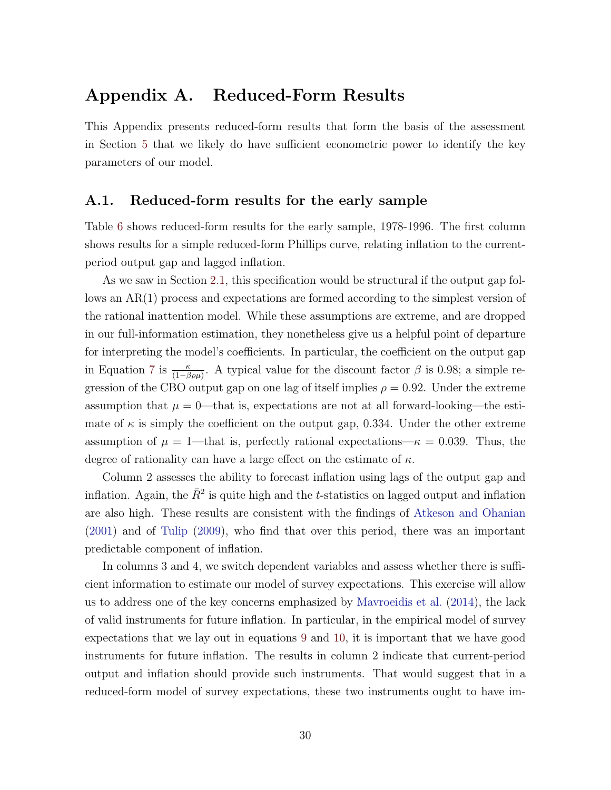# Appendix A. Reduced-Form Results

This Appendix presents reduced-form results that form the basis of the assessment in Section [5](#page-12-0) that we likely do have sufficient econometric power to identify the key parameters of our model.

#### A.1. Reduced-form results for the early sample

Table [6](#page-32-0) shows reduced-form results for the early sample, 1978-1996. The first column shows results for a simple reduced-form Phillips curve, relating inflation to the currentperiod output gap and lagged inflation.

As we saw in Section [2.1,](#page-5-3) this specification would be structural if the output gap follows an AR(1) process and expectations are formed according to the simplest version of the rational inattention model. While these assumptions are extreme, and are dropped in our full-information estimation, they nonetheless give us a helpful point of departure for interpreting the model's coefficients. In particular, the coefficient on the output gap in Equation [7](#page-7-3) is  $\frac{\kappa}{(1-\beta\rho\mu)}$ . A typical value for the discount factor  $\beta$  is 0.98; a simple regression of the CBO output gap on one lag of itself implies  $\rho = 0.92$ . Under the extreme assumption that  $\mu = 0$ —that is, expectations are not at all forward-looking—the estimate of  $\kappa$  is simply the coefficient on the output gap, 0.334. Under the other extreme assumption of  $\mu = 1$ —that is, perfectly rational expectations— $\kappa = 0.039$ . Thus, the degree of rationality can have a large effect on the estimate of  $\kappa$ .

Column 2 assesses the ability to forecast inflation using lags of the output gap and inflation. Again, the  $\bar{R}^2$  is quite high and the *t*-statistics on lagged output and inflation are also high. These results are consistent with the findings of [Atkeson and Ohanian](#page-28-0) [\(2001\)](#page-28-0) and of [Tulip](#page-30-11) [\(2009\)](#page-30-11), who find that over this period, there was an important predictable component of inflation.

In columns 3 and 4, we switch dependent variables and assess whether there is sufficient information to estimate our model of survey expectations. This exercise will allow us to address one of the key concerns emphasized by [Mavroeidis et al.](#page-29-0) [\(2014\)](#page-29-0), the lack of valid instruments for future inflation. In particular, in the empirical model of survey expectations that we lay out in equations [9](#page-8-0) and [10,](#page-8-1) it is important that we have good instruments for future inflation. The results in column 2 indicate that current-period output and inflation should provide such instruments. That would suggest that in a reduced-form model of survey expectations, these two instruments ought to have im-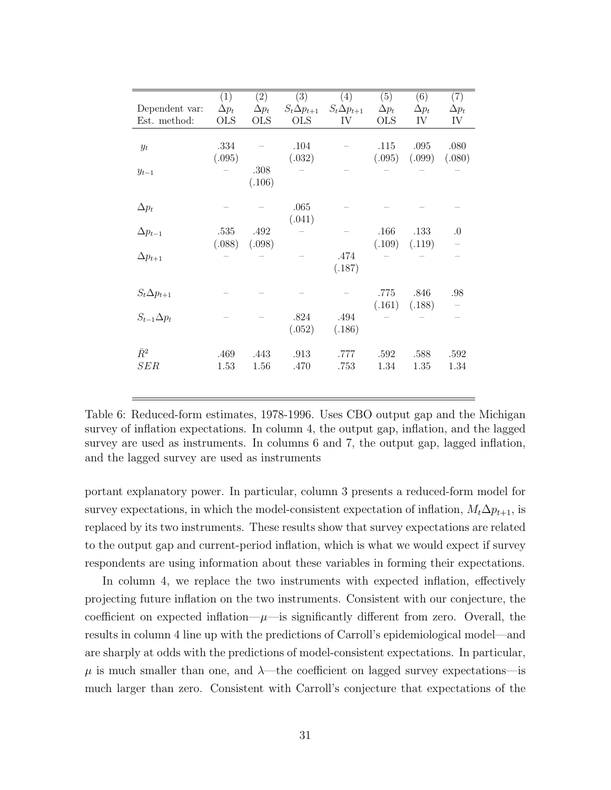|                      | (1)          | (2)          | (3)                  | (4)                  | (5)          | (6)          | (7)          |
|----------------------|--------------|--------------|----------------------|----------------------|--------------|--------------|--------------|
| Dependent var:       | $\Delta p_t$ | $\Delta p_t$ | $S_t \Delta p_{t+1}$ | $S_t \Delta p_{t+1}$ | $\Delta p_t$ | $\Delta p_t$ | $\Delta p_t$ |
| Est. method:         | <b>OLS</b>   | <b>OLS</b>   | <b>OLS</b>           | IV                   | <b>OLS</b>   | IV           | IV           |
|                      |              |              |                      |                      |              |              |              |
|                      | .334         |              | .104                 |                      | .115         | .095         | .080         |
| $y_t$                | (.095)       |              | (.032)               |                      | (.095)       | (.099)       | (.080)       |
|                      |              | .308         |                      |                      |              |              |              |
| $y_{t-1}$            |              |              |                      |                      |              |              |              |
|                      |              | (.106)       |                      |                      |              |              |              |
|                      |              |              |                      |                      |              |              |              |
| $\Delta p_t$         |              |              | .065                 |                      |              |              |              |
|                      |              |              | (.041)               |                      |              |              |              |
| $\Delta p_{t-1}$     | .535         | .492         |                      |                      | .166         | .133         | $\cdot$      |
|                      | (.088)       | (.098)       |                      |                      | (.109)       | (.119)       |              |
| $\Delta p_{t+1}$     |              |              |                      | .474                 |              |              |              |
|                      |              |              |                      | (.187)               |              |              |              |
|                      |              |              |                      |                      |              |              |              |
| $S_t \Delta p_{t+1}$ |              |              |                      |                      | .775         | .846         | .98          |
|                      |              |              |                      |                      | (.161)       | (.188)       |              |
| $S_{t-1}\Delta p_t$  |              |              | .824                 | .494                 |              |              |              |
|                      |              |              | (.052)               | (.186)               |              |              |              |
|                      |              |              |                      |                      |              |              |              |
| $\bar{R}^2$          | .469         | .443         | .913                 | .777                 | .592         | .588         | .592         |
| SER                  | 1.53         | 1.56         | .470                 | .753                 | 1.34         | 1.35         | 1.34         |
|                      |              |              |                      |                      |              |              |              |
|                      |              |              |                      |                      |              |              |              |

<span id="page-32-0"></span>Table 6: Reduced-form estimates, 1978-1996. Uses CBO output gap and the Michigan survey of inflation expectations. In column 4, the output gap, inflation, and the lagged survey are used as instruments. In columns 6 and 7, the output gap, lagged inflation, and the lagged survey are used as instruments

portant explanatory power. In particular, column 3 presents a reduced-form model for survey expectations, in which the model-consistent expectation of inflation,  $M_t\Delta p_{t+1}$ , is replaced by its two instruments. These results show that survey expectations are related to the output gap and current-period inflation, which is what we would expect if survey respondents are using information about these variables in forming their expectations.

In column 4, we replace the two instruments with expected inflation, effectively projecting future inflation on the two instruments. Consistent with our conjecture, the coefficient on expected inflation— $\mu$ —is significantly different from zero. Overall, the results in column 4 line up with the predictions of Carroll's epidemiological model—and are sharply at odds with the predictions of model-consistent expectations. In particular,  $\mu$  is much smaller than one, and  $\lambda$ —the coefficient on lagged survey expectations—is much larger than zero. Consistent with Carroll's conjecture that expectations of the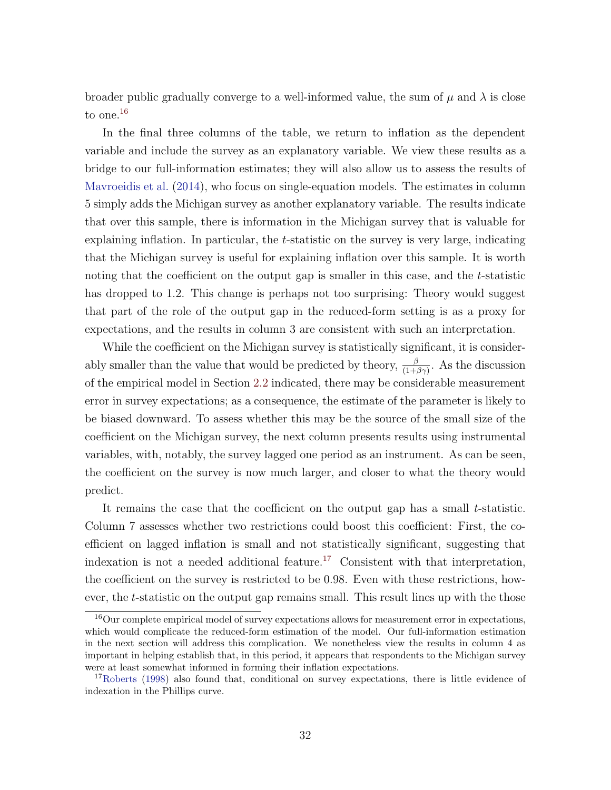broader public gradually converge to a well-informed value, the sum of  $\mu$  and  $\lambda$  is close to one.<sup>[16](#page-33-0)</sup>

In the final three columns of the table, we return to inflation as the dependent variable and include the survey as an explanatory variable. We view these results as a bridge to our full-information estimates; they will also allow us to assess the results of [Mavroeidis et al.](#page-29-0) [\(2014\)](#page-29-0), who focus on single-equation models. The estimates in column 5 simply adds the Michigan survey as another explanatory variable. The results indicate that over this sample, there is information in the Michigan survey that is valuable for explaining inflation. In particular, the  $t$ -statistic on the survey is very large, indicating that the Michigan survey is useful for explaining inflation over this sample. It is worth noting that the coefficient on the output gap is smaller in this case, and the t-statistic has dropped to 1.2. This change is perhaps not too surprising: Theory would suggest that part of the role of the output gap in the reduced-form setting is as a proxy for expectations, and the results in column 3 are consistent with such an interpretation.

While the coefficient on the Michigan survey is statistically significant, it is considerably smaller than the value that would be predicted by theory,  $\frac{\beta}{(1+\beta\gamma)}$ . As the discussion of the empirical model in Section [2.2](#page-7-2) indicated, there may be considerable measurement error in survey expectations; as a consequence, the estimate of the parameter is likely to be biased downward. To assess whether this may be the source of the small size of the coefficient on the Michigan survey, the next column presents results using instrumental variables, with, notably, the survey lagged one period as an instrument. As can be seen, the coefficient on the survey is now much larger, and closer to what the theory would predict.

It remains the case that the coefficient on the output gap has a small t-statistic. Column 7 assesses whether two restrictions could boost this coefficient: First, the coefficient on lagged inflation is small and not statistically significant, suggesting that indexation is not a needed additional feature.<sup>[17](#page-33-1)</sup> Consistent with that interpretation, the coefficient on the survey is restricted to be 0.98. Even with these restrictions, however, the t-statistic on the output gap remains small. This result lines up with the those

<span id="page-33-0"></span><sup>&</sup>lt;sup>16</sup>Our complete empirical model of survey expectations allows for measurement error in expectations, which would complicate the reduced-form estimation of the model. Our full-information estimation in the next section will address this complication. We nonetheless view the results in column 4 as important in helping establish that, in this period, it appears that respondents to the Michigan survey were at least somewhat informed in forming their inflation expectations.

<span id="page-33-1"></span><sup>17</sup>[Roberts](#page-30-12) [\(1998\)](#page-30-12) also found that, conditional on survey expectations, there is little evidence of indexation in the Phillips curve.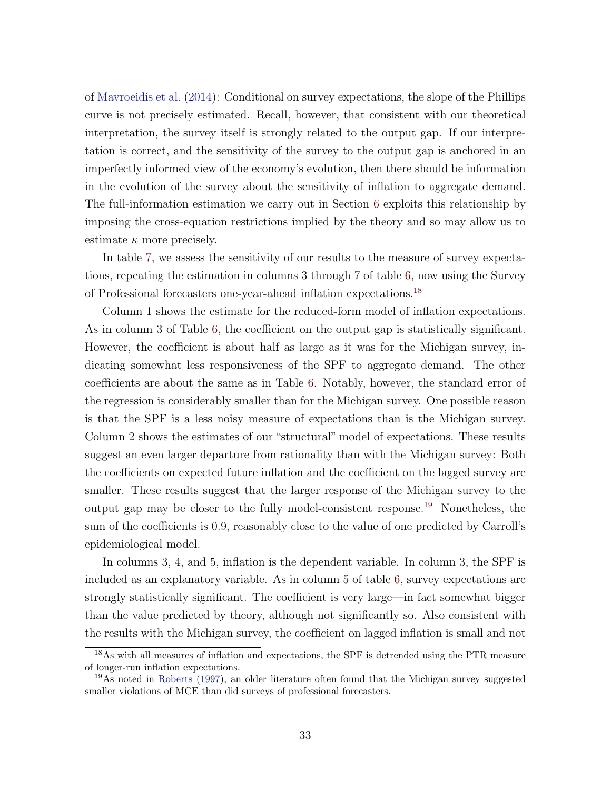of [Mavroeidis et al.](#page-29-0) [\(2014\)](#page-29-0): Conditional on survey expectations, the slope of the Phillips curve is not precisely estimated. Recall, however, that consistent with our theoretical interpretation, the survey itself is strongly related to the output gap. If our interpretation is correct, and the sensitivity of the survey to the output gap is anchored in an imperfectly informed view of the economy's evolution, then there should be information in the evolution of the survey about the sensitivity of inflation to aggregate demand. The full-information estimation we carry out in Section [6](#page-14-0) exploits this relationship by imposing the cross-equation restrictions implied by the theory and so may allow us to estimate  $\kappa$  more precisely.

In table [7,](#page-35-0) we assess the sensitivity of our results to the measure of survey expectations, repeating the estimation in columns 3 through 7 of table [6,](#page-32-0) now using the Survey of Professional forecasters one-year-ahead inflation expectations.[18](#page-34-0)

Column 1 shows the estimate for the reduced-form model of inflation expectations. As in column 3 of Table [6,](#page-32-0) the coefficient on the output gap is statistically significant. However, the coefficient is about half as large as it was for the Michigan survey, indicating somewhat less responsiveness of the SPF to aggregate demand. The other coefficients are about the same as in Table [6.](#page-32-0) Notably, however, the standard error of the regression is considerably smaller than for the Michigan survey. One possible reason is that the SPF is a less noisy measure of expectations than is the Michigan survey. Column 2 shows the estimates of our "structural" model of expectations. These results suggest an even larger departure from rationality than with the Michigan survey: Both the coefficients on expected future inflation and the coefficient on the lagged survey are smaller. These results suggest that the larger response of the Michigan survey to the output gap may be closer to the fully model-consistent response.<sup>[19](#page-34-1)</sup> Nonetheless, the sum of the coefficients is 0.9, reasonably close to the value of one predicted by Carroll's epidemiological model.

In columns 3, 4, and 5, inflation is the dependent variable. In column 3, the SPF is included as an explanatory variable. As in column 5 of table [6,](#page-32-0) survey expectations are strongly statistically significant. The coefficient is very large—in fact somewhat bigger than the value predicted by theory, although not significantly so. Also consistent with the results with the Michigan survey, the coefficient on lagged inflation is small and not

<span id="page-34-0"></span><sup>&</sup>lt;sup>18</sup>As with all measures of inflation and expectations, the SPF is detrended using the PTR measure of longer-run inflation expectations.

<span id="page-34-1"></span><sup>19</sup>As noted in [Roberts](#page-30-2) [\(1997\)](#page-30-2), an older literature often found that the Michigan survey suggested smaller violations of MCE than did surveys of professional forecasters.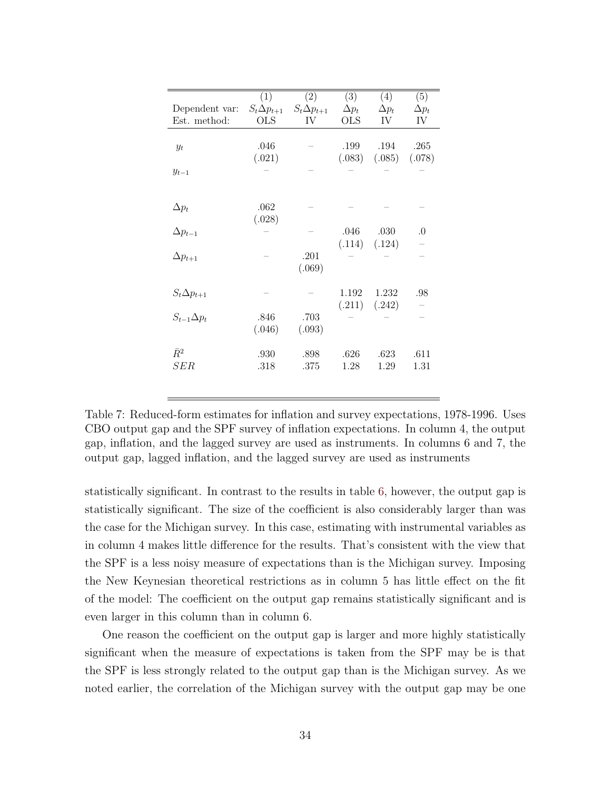|                      | (1)                  | (2)                  | (3)          | (4)          | (5)          |
|----------------------|----------------------|----------------------|--------------|--------------|--------------|
| Dependent var:       | $S_t \Delta p_{t+1}$ | $S_t \Delta p_{t+1}$ | $\Delta p_t$ | $\Delta p_t$ | $\Delta p_t$ |
| Est. method:         | <b>OLS</b>           | IV                   | <b>OLS</b>   | IV           | IV           |
|                      |                      |                      |              |              |              |
| $y_t$                | .046                 |                      | .199         | .194         | .265         |
|                      | (.021)               |                      | (.083)       | (.085)       | (.078)       |
| $y_{t-1}$            |                      |                      |              |              |              |
|                      |                      |                      |              |              |              |
|                      |                      |                      |              |              |              |
| $\Delta p_t$         | .062                 |                      |              |              |              |
|                      | (.028)               |                      |              |              |              |
| $\Delta p_{t-1}$     |                      |                      | .046         | .030         | $\Omega$     |
|                      |                      |                      | (.114)       | (.124)       |              |
| $\Delta p_{t+1}$     |                      | .201                 |              |              |              |
|                      |                      | (.069)               |              |              |              |
|                      |                      |                      |              |              |              |
| $S_t \Delta p_{t+1}$ |                      |                      | 1.192        | 1.232        | .98          |
|                      |                      |                      | (.211)       | (.242)       |              |
| $S_{t-1}\Delta p_t$  | .846                 | .703                 |              |              |              |
|                      | (.046)               | (.093)               |              |              |              |
| $\bar{R}^2$          | .930                 | .898                 | .626         | .623         | .611         |
| SER                  | .318                 | .375                 | 1.28         | 1.29         | 1.31         |
|                      |                      |                      |              |              |              |

<span id="page-35-0"></span>Table 7: Reduced-form estimates for inflation and survey expectations, 1978-1996. Uses CBO output gap and the SPF survey of inflation expectations. In column 4, the output gap, inflation, and the lagged survey are used as instruments. In columns 6 and 7, the output gap, lagged inflation, and the lagged survey are used as instruments

statistically significant. In contrast to the results in table [6,](#page-32-0) however, the output gap is statistically significant. The size of the coefficient is also considerably larger than was the case for the Michigan survey. In this case, estimating with instrumental variables as in column 4 makes little difference for the results. That's consistent with the view that the SPF is a less noisy measure of expectations than is the Michigan survey. Imposing the New Keynesian theoretical restrictions as in column 5 has little effect on the fit of the model: The coefficient on the output gap remains statistically significant and is even larger in this column than in column 6.

One reason the coefficient on the output gap is larger and more highly statistically significant when the measure of expectations is taken from the SPF may be is that the SPF is less strongly related to the output gap than is the Michigan survey. As we noted earlier, the correlation of the Michigan survey with the output gap may be one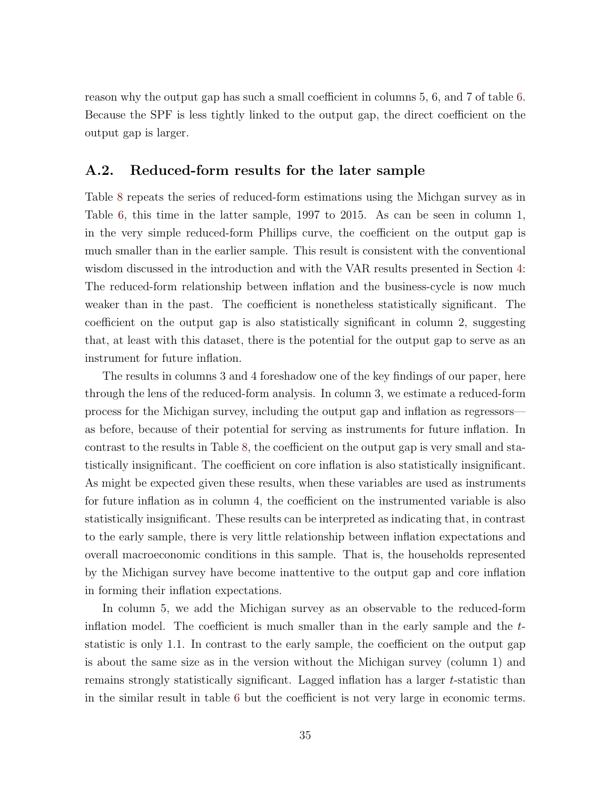reason why the output gap has such a small coefficient in columns 5, 6, and 7 of table [6.](#page-32-0) Because the SPF is less tightly linked to the output gap, the direct coefficient on the output gap is larger.

#### A.2. Reduced-form results for the later sample

Table [8](#page-37-0) repeats the series of reduced-form estimations using the Michgan survey as in Table [6,](#page-32-0) this time in the latter sample, 1997 to 2015. As can be seen in column 1, in the very simple reduced-form Phillips curve, the coefficient on the output gap is much smaller than in the earlier sample. This result is consistent with the conventional wisdom discussed in the introduction and with the VAR results presented in Section [4:](#page-10-2) The reduced-form relationship between inflation and the business-cycle is now much weaker than in the past. The coefficient is nonetheless statistically significant. The coefficient on the output gap is also statistically significant in column 2, suggesting that, at least with this dataset, there is the potential for the output gap to serve as an instrument for future inflation.

The results in columns 3 and 4 foreshadow one of the key findings of our paper, here through the lens of the reduced-form analysis. In column 3, we estimate a reduced-form process for the Michigan survey, including the output gap and inflation as regressors as before, because of their potential for serving as instruments for future inflation. In contrast to the results in Table [8,](#page-37-0) the coefficient on the output gap is very small and statistically insignificant. The coefficient on core inflation is also statistically insignificant. As might be expected given these results, when these variables are used as instruments for future inflation as in column 4, the coefficient on the instrumented variable is also statistically insignificant. These results can be interpreted as indicating that, in contrast to the early sample, there is very little relationship between inflation expectations and overall macroeconomic conditions in this sample. That is, the households represented by the Michigan survey have become inattentive to the output gap and core inflation in forming their inflation expectations.

In column 5, we add the Michigan survey as an observable to the reduced-form inflation model. The coefficient is much smaller than in the early sample and the tstatistic is only 1.1. In contrast to the early sample, the coefficient on the output gap is about the same size as in the version without the Michigan survey (column 1) and remains strongly statistically significant. Lagged inflation has a larger t-statistic than in the similar result in table [6](#page-32-0) but the coefficient is not very large in economic terms.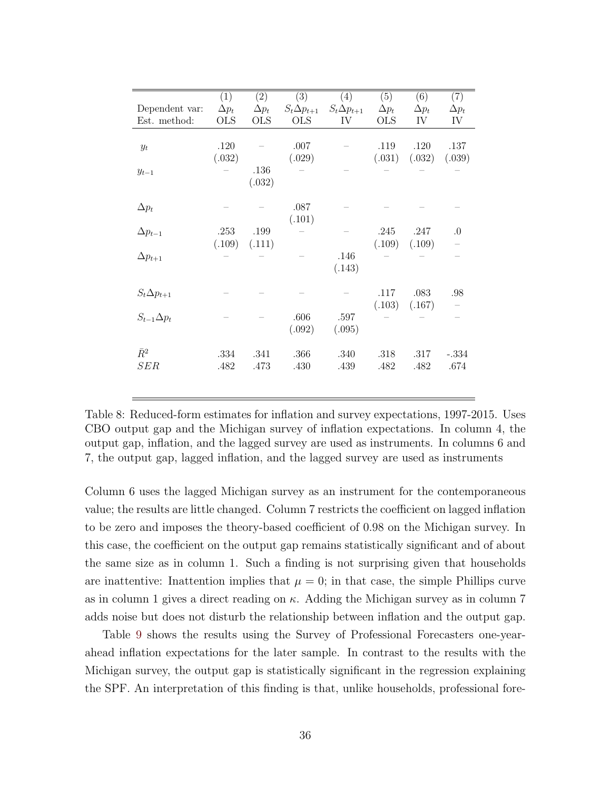|                      | (1)          | (2)          | (3)                  | (4)                  | (5)          | (6)          | (7)          |
|----------------------|--------------|--------------|----------------------|----------------------|--------------|--------------|--------------|
| Dependent var:       | $\Delta p_t$ | $\Delta p_t$ | $S_t \Delta p_{t+1}$ | $S_t \Delta p_{t+1}$ | $\Delta p_t$ | $\Delta p_t$ | $\Delta p_t$ |
| Est. method:         | <b>OLS</b>   | <b>OLS</b>   | <b>OLS</b>           | IV                   | OLS          | IV           | IV           |
|                      |              |              |                      |                      |              |              |              |
|                      |              |              |                      |                      |              |              |              |
| $y_t$                | .120         |              | .007                 |                      | .119         | .120         | .137         |
|                      | (.032)       |              | (.029)               |                      | (.031)       | (.032)       | (.039)       |
| $y_{t-1}$            |              | .136         |                      |                      |              |              |              |
|                      |              | (.032)       |                      |                      |              |              |              |
|                      |              |              |                      |                      |              |              |              |
| $\Delta p_t$         |              |              | .087                 |                      |              |              |              |
|                      |              |              | (.101)               |                      |              |              |              |
| $\Delta p_{t-1}$     | .253         | .199         |                      |                      | .245         | .247         | $\cdot$      |
|                      | (.109)       | (.111)       |                      |                      | (.109)       | (.109)       |              |
| $\Delta p_{t+1}$     |              |              |                      | .146                 |              |              |              |
|                      |              |              |                      | (.143)               |              |              |              |
|                      |              |              |                      |                      |              |              |              |
|                      |              |              |                      |                      |              |              |              |
| $S_t \Delta p_{t+1}$ |              |              |                      |                      | .117         | .083         | .98          |
|                      |              |              |                      |                      | (.103)       | (.167)       |              |
| $S_{t-1}\Delta p_t$  |              |              | .606                 | .597                 |              |              |              |
|                      |              |              | (.092)               | (.095)               |              |              |              |
|                      |              |              |                      |                      |              |              |              |
| $\bar{R}^2$          | .334         | .341         | .366                 | .340                 | .318         | .317         | $-.334$      |
| SER                  | .482         | .473         | .430                 | .439                 | .482         | .482         | .674         |
|                      |              |              |                      |                      |              |              |              |
|                      |              |              |                      |                      |              |              |              |

<span id="page-37-0"></span>Table 8: Reduced-form estimates for inflation and survey expectations, 1997-2015. Uses CBO output gap and the Michigan survey of inflation expectations. In column 4, the output gap, inflation, and the lagged survey are used as instruments. In columns 6 and 7, the output gap, lagged inflation, and the lagged survey are used as instruments

Column 6 uses the lagged Michigan survey as an instrument for the contemporaneous value; the results are little changed. Column 7 restricts the coefficient on lagged inflation to be zero and imposes the theory-based coefficient of 0.98 on the Michigan survey. In this case, the coefficient on the output gap remains statistically significant and of about the same size as in column 1. Such a finding is not surprising given that households are inattentive: Inattention implies that  $\mu = 0$ ; in that case, the simple Phillips curve as in column 1 gives a direct reading on  $\kappa$ . Adding the Michigan survey as in column 7 adds noise but does not disturb the relationship between inflation and the output gap.

Table [9](#page-38-0) shows the results using the Survey of Professional Forecasters one-yearahead inflation expectations for the later sample. In contrast to the results with the Michigan survey, the output gap is statistically significant in the regression explaining the SPF. An interpretation of this finding is that, unlike households, professional fore-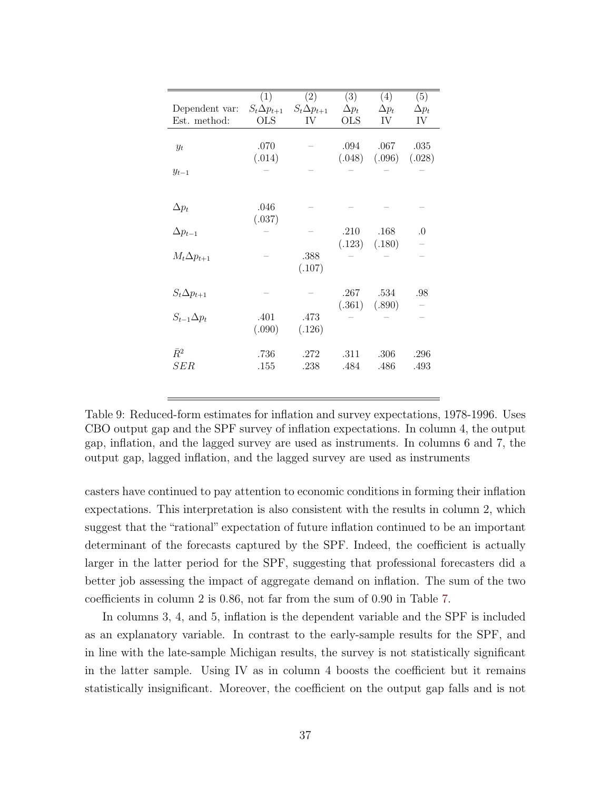|                      | (1)                  | (2)                  | (3)          | (4)               | (5)          |
|----------------------|----------------------|----------------------|--------------|-------------------|--------------|
| Dependent var:       | $S_t \Delta p_{t+1}$ | $S_t \Delta p_{t+1}$ | $\Delta p_t$ | $\Delta p_t$      | $\Delta p_t$ |
| Est. method:         | <b>OLS</b>           | IV                   | <b>OLS</b>   | IV                | IV           |
|                      |                      |                      |              |                   |              |
|                      |                      |                      |              |                   |              |
| $y_t$                | .070                 |                      | .094         | .067              | .035         |
|                      | (.014)               |                      | (.048)       | (.096)            | (.028)       |
| $y_{t-1}$            |                      |                      |              |                   |              |
|                      |                      |                      |              |                   |              |
|                      |                      |                      |              |                   |              |
| $\Delta p_t$         | .046                 |                      |              |                   |              |
|                      |                      |                      |              |                   |              |
|                      | (.037)               |                      |              |                   |              |
| $\Delta p_{t-1}$     |                      |                      | .210         | .168              | $\Omega$     |
|                      |                      |                      |              | $(.123)$ $(.180)$ |              |
| $M_t \Delta p_{t+1}$ |                      | .388                 |              |                   |              |
|                      |                      | (.107)               |              |                   |              |
|                      |                      |                      |              |                   |              |
| $S_t \Delta p_{t+1}$ |                      |                      | .267         | .534              | .98          |
|                      |                      |                      |              | $(.361)$ $(.890)$ |              |
| $S_{t-1}\Delta p_t$  |                      |                      |              |                   |              |
|                      | .401                 | .473                 |              |                   |              |
|                      | (.090)               | (.126)               |              |                   |              |
|                      |                      |                      |              |                   |              |
| $\bar{R}^2$          | .736                 | .272                 | .311         | .306              | .296         |
| ${SER}$              | .155                 | .238                 | .484         | .486              | .493         |
|                      |                      |                      |              |                   |              |

<span id="page-38-0"></span>Table 9: Reduced-form estimates for inflation and survey expectations, 1978-1996. Uses CBO output gap and the SPF survey of inflation expectations. In column 4, the output gap, inflation, and the lagged survey are used as instruments. In columns 6 and 7, the output gap, lagged inflation, and the lagged survey are used as instruments

casters have continued to pay attention to economic conditions in forming their inflation expectations. This interpretation is also consistent with the results in column 2, which suggest that the "rational" expectation of future inflation continued to be an important determinant of the forecasts captured by the SPF. Indeed, the coefficient is actually larger in the latter period for the SPF, suggesting that professional forecasters did a better job assessing the impact of aggregate demand on inflation. The sum of the two coefficients in column 2 is 0.86, not far from the sum of 0.90 in Table [7.](#page-35-0)

In columns 3, 4, and 5, inflation is the dependent variable and the SPF is included as an explanatory variable. In contrast to the early-sample results for the SPF, and in line with the late-sample Michigan results, the survey is not statistically significant in the latter sample. Using IV as in column 4 boosts the coefficient but it remains statistically insignificant. Moreover, the coefficient on the output gap falls and is not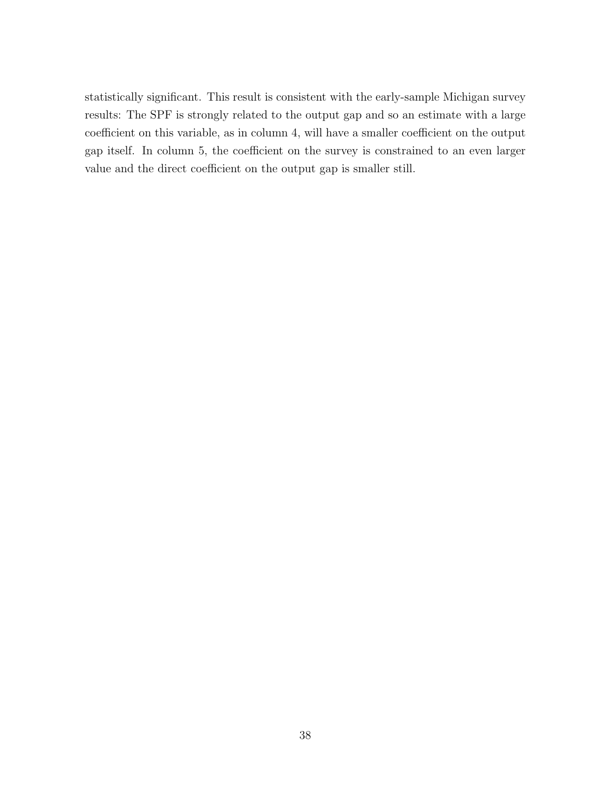statistically significant. This result is consistent with the early-sample Michigan survey results: The SPF is strongly related to the output gap and so an estimate with a large coefficient on this variable, as in column 4, will have a smaller coefficient on the output gap itself. In column 5, the coefficient on the survey is constrained to an even larger value and the direct coefficient on the output gap is smaller still.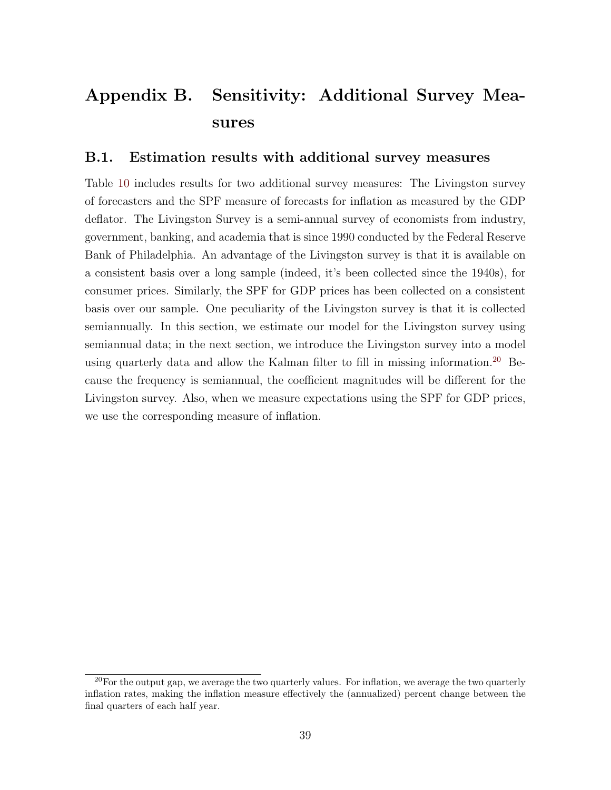# Appendix B. Sensitivity: Additional Survey Measures

#### B.1. Estimation results with additional survey measures

Table [10](#page-41-0) includes results for two additional survey measures: The Livingston survey of forecasters and the SPF measure of forecasts for inflation as measured by the GDP deflator. The Livingston Survey is a semi-annual survey of economists from industry, government, banking, and academia that is since 1990 conducted by the Federal Reserve Bank of Philadelphia. An advantage of the Livingston survey is that it is available on a consistent basis over a long sample (indeed, it's been collected since the 1940s), for consumer prices. Similarly, the SPF for GDP prices has been collected on a consistent basis over our sample. One peculiarity of the Livingston survey is that it is collected semiannually. In this section, we estimate our model for the Livingston survey using semiannual data; in the next section, we introduce the Livingston survey into a model using quarterly data and allow the Kalman filter to fill in missing information.[20](#page-40-0) Because the frequency is semiannual, the coefficient magnitudes will be different for the Livingston survey. Also, when we measure expectations using the SPF for GDP prices, we use the corresponding measure of inflation.

<span id="page-40-0"></span> $20$  For the output gap, we average the two quarterly values. For inflation, we average the two quarterly inflation rates, making the inflation measure effectively the (annualized) percent change between the final quarters of each half year.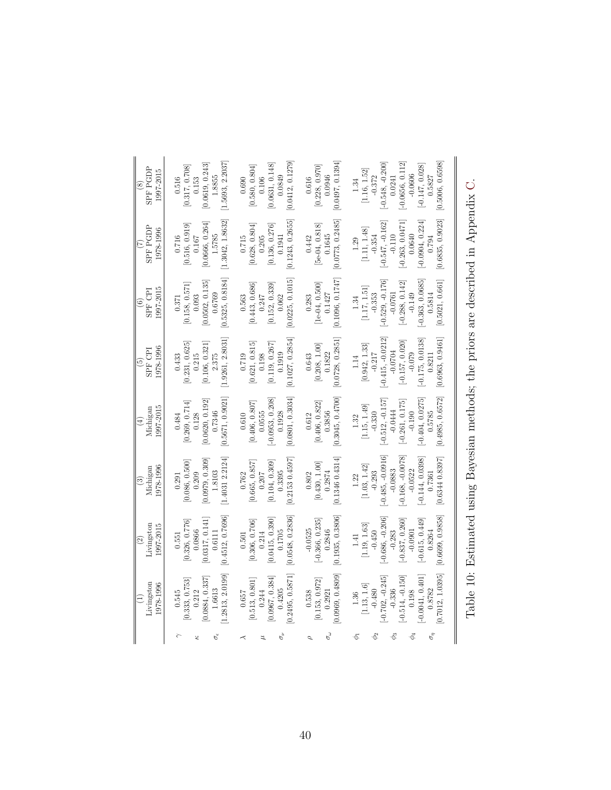<span id="page-41-0"></span>

| <b>SPF PGDP</b><br>1997-2015<br>$\widehat{\mathbb{S}}$ | [1.5693, 2.2037]<br>[0.0619, 0.243]<br>[0.317, 0.708]<br>1.8855<br>0.516<br>0.153  | [0.0412, 0.1279]<br>[0.0631, 0.148]<br>[0.580, 0.804]<br>0.0849<br>0.106<br>0.690     | [0.0497, 0.1394]<br>[0.228, 0.970]<br>0.0946<br>$0.616\,$    | [0.5006, 0.6598]<br>$[-0.0656, 0.112]$<br>$-0.548, -0.200$<br>$[-0.147, 0.028]$<br>[1.16, 1.52]<br>$-0.0606$<br>$-0.372$<br>0.5827<br>0.0241<br>1.34   |
|--------------------------------------------------------|------------------------------------------------------------------------------------|---------------------------------------------------------------------------------------|--------------------------------------------------------------|--------------------------------------------------------------------------------------------------------------------------------------------------------|
| <b>SPF PGDP</b><br>1978-1996                           | [1.3042, 1.8632]<br>0.0666, 0.264]<br>[0.516, 0.919]<br>1.5785<br>0.716<br>0.167   | [0.1243, 0.2655]<br>[0.628, 0.804]<br>[0.136, 0.276]<br>0.1941<br>0.715<br>0.205      | 0.0773, 0.2485<br>$[5e-04, 0.818]$<br>0.1645<br>0.442        | [0.6835, 0.9023]<br>$-0.0904, 0.224$<br>$[-0.263, 0.0471]$<br>$-0.547, -0.162$<br>[1.11, 1.48]<br>$-0.110$<br>0.0640<br>$-0.354$<br>0.794<br>1.29      |
| 1997-2015<br>SPF CPI<br>$\widehat{6}$                  | [0.5325, 0.8184]<br>[0.0502, 0.135]<br>[0.158, 0.571]<br>0.6769<br>0.093<br>0.371  | [0.0225, 0.1015]<br>[0.152, 0.339]<br>[0.443, 0.686]<br>0.247<br>0.563<br>0.062       | [0.1096, 0.1747]<br>$[1e-04, 0.500]$<br>0.1427<br>0.283      | $-0.363, 0.0685$<br>[0.5021, 0.661]<br>$-0.529, -0.176$<br>$[-0.288, 0.142]$<br>[1.17, 1.51]<br>$-0.0761$<br>$-0.149$<br>0.5814<br>$-0.353$<br>1.34    |
| 1978-1996<br>SPF CPI<br>$\widetilde{\mathbf{5}}$       | [1.9261, 2.8031]<br>[0.106, 0.321]<br>[0.231, 0.625]<br>0.215<br>2.375<br>0.433    | [0.1027, 0.2854]<br>[0.621, 0.815]<br>[0.119, 0.267]<br>0.1919<br>0.719<br>0.198      | [0.0728, 0.2851]<br>[0.208, 1.00]<br>0.1822<br>0.643         | $-0.415, -0.0212$<br>[0.6963, 0.9461]<br>$-0.175, 0.0138$<br>$[-0.157, 0.020]$<br>[0.942, 1.33]<br>$-0.0704$<br>$-0.079$<br>$-0.217$<br>0.8211<br>1.14 |
| 1997-2015<br>Michigan                                  | [0.5671, 0.9021]<br>[0.0620, 0.192]<br>[0.269, 0.714]<br>0.7346<br>0.128<br>0.484  | [0.0801, 0.3034]<br>$[-0.0953, 0.208]$<br>[0.406, 0.807]<br>0.0555<br>0.1928<br>0.610 | [0.3045, 0.4700]<br>[0.406, 0.822]<br>0.3856<br>0.612        | [0.4985, 0.6572]<br>$-0.404, 0.0275$<br>$-0.512, -0.157$<br>$[-0.261, 0.175]$<br>[1.15, 1.49]<br>$-0.0444$<br>0.5785<br>$-0.190$<br>$-0.330$<br>1.32   |
| 1978-1996<br>Michigan<br>$\widehat{\mathbf{e}}$        | [1.40312.2124]<br>[0.0979, 0.309]<br>[0.086, 0.500]<br>1.8103<br>0.209<br>0.291    | [0.2153 0.4597]<br>[0.665, 0.857]<br>0.104, 0.309<br>0.3395<br>0.762<br>0.207         | 0.13460.4314<br>[0.430, 1.00]<br>0.2874<br>0.802             | $-0.485, -0.0916$<br>$-0.168, -0.0078$<br>[0.63440.8397]<br>$[-0.144, 0.0398]$<br>[1.03, 1.42]<br>$-0.0883$<br>$-0.0522$<br>$-0.293$<br>0.7361<br>1.22 |
| Livingston<br>1997-2015<br>$\widehat{\Omega}$          | [0.4512, 0.7696]<br>[0.0317, 0.141]<br>[0.326, 0.776]<br>0.0866<br>0.6111<br>0.551 | [0.0548, 0.2836]<br>[0.0415, 0.390]<br>[0.306, 0.706]<br>0.1705<br>0.214<br>0.501     | [0.1935, 0.3806]<br>$[-0.366, 0.235]$<br>$-0.0525$<br>0.2846 | [0.6699, 0.9858]<br>$-0.686, -0.206$<br>$-0.615, 0.449$<br>$[-0.837, 0.260]$<br>[1.19, 1.63]<br>$-0.0901$<br>0.8264<br>$-0.283$<br>$-0.450$<br>1.41    |
| Livingston<br>1978-1996                                | 1.2813, 2.0199<br>0.0884, 0.337<br>[0.333, 0.753]<br>1.6613<br>0.212<br>0.545      | [0.2495, 0.5871]<br>[0.0967, 0.384]<br>[0.513, 0.801]<br>0.4205<br>0.244<br>0.657     | 0.0969, 0.4809<br>[0.153, 0.972]<br>0.2921<br>0.538          | 0.7012, 1.0395<br>$-0.702, -0.245$<br>$[-0.0041, 0.401]$<br>$-0.514, -0.150$<br>[1.13, 1.6]<br>$-0.336$<br>0.8782<br>0.198<br>$-0.480$<br>1.36         |
|                                                        |                                                                                    |                                                                                       |                                                              | $\sigma_{\eta}$                                                                                                                                        |

Table 10: Estimated using Bayesian methods; the priors are described in Appendix Table 10: Estimated using Bayesian methods; the priors are described in Appendix [C.](#page-9-3)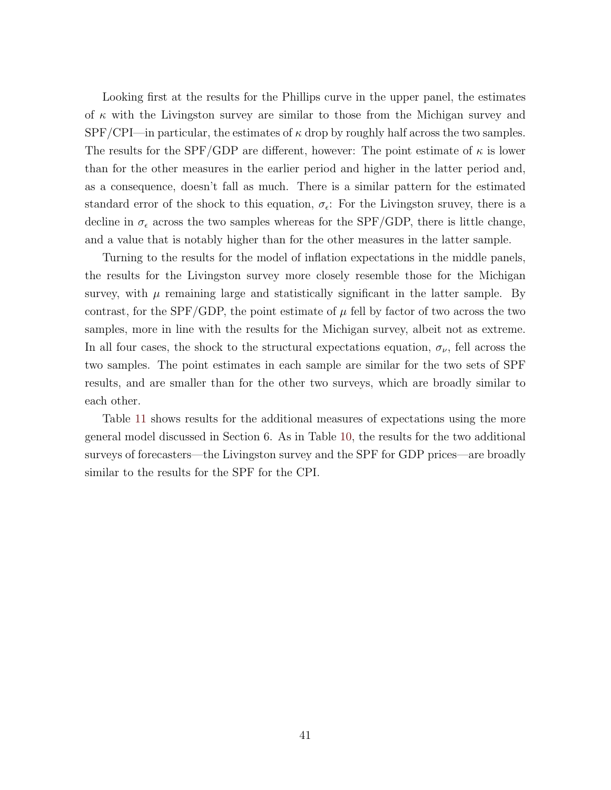Looking first at the results for the Phillips curve in the upper panel, the estimates of  $\kappa$  with the Livingston survey are similar to those from the Michigan survey and  $SPF/CPI$ —in particular, the estimates of  $\kappa$  drop by roughly half across the two samples. The results for the SPF/GDP are different, however: The point estimate of  $\kappa$  is lower than for the other measures in the earlier period and higher in the latter period and, as a consequence, doesn't fall as much. There is a similar pattern for the estimated standard error of the shock to this equation,  $\sigma_{\epsilon}$ : For the Livingston sruvey, there is a decline in  $\sigma_{\epsilon}$  across the two samples whereas for the SPF/GDP, there is little change, and a value that is notably higher than for the other measures in the latter sample.

Turning to the results for the model of inflation expectations in the middle panels, the results for the Livingston survey more closely resemble those for the Michigan survey, with  $\mu$  remaining large and statistically significant in the latter sample. By contrast, for the SPF/GDP, the point estimate of  $\mu$  fell by factor of two across the two samples, more in line with the results for the Michigan survey, albeit not as extreme. In all four cases, the shock to the structural expectations equation,  $\sigma_{\nu}$ , fell across the two samples. The point estimates in each sample are similar for the two sets of SPF results, and are smaller than for the other two surveys, which are broadly similar to each other.

Table [11](#page-43-0) shows results for the additional measures of expectations using the more general model discussed in Section 6. As in Table [10,](#page-41-0) the results for the two additional surveys of forecasters—the Livingston survey and the SPF for GDP prices—are broadly similar to the results for the SPF for the CPI.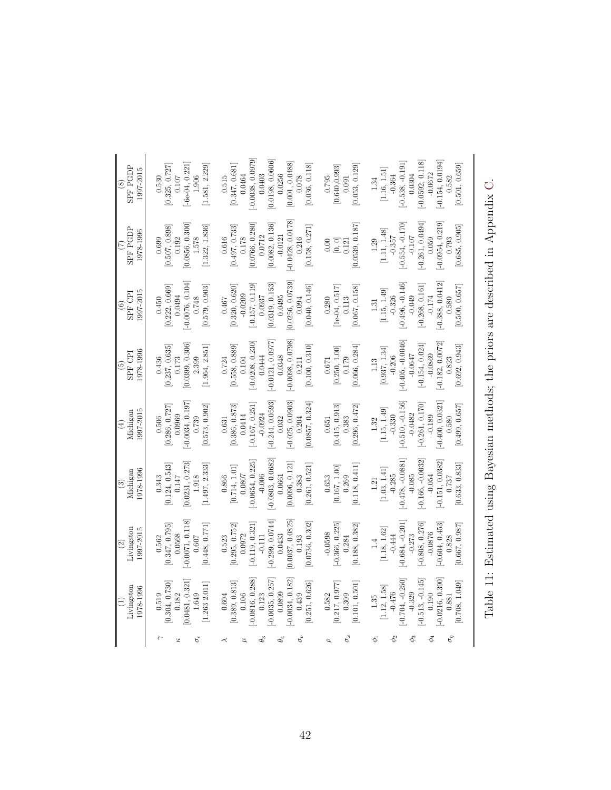<span id="page-43-0"></span>

| <b>SPF PGDP</b><br>1997-2015<br>$\circledast$ | $[-6e-04, 0.221]$<br>[1.581, 2.229]<br>[0.325, 0.727]<br>$1.906\,$<br>$0.107\,$<br>0.530 | $-0.0038, 0.0979$<br>[0.0198, 0.0606]<br>[0.001, 0.0488]<br>[0.036, 0.118]<br>[0.347, 0.681]<br>0.0464<br>0.0256<br>0.0403<br>0.515<br>0.078       | [0.053, 0.129]<br>[0.640, 0.993]<br>0.795<br>0.091                       | $[-0.154, 0.0194]$<br>$-0.0592, 0.118$<br>$[-0.538, -0.191]$<br>[0.501, 0.659]<br>[1.16, 1.51]<br>$-0.0672$<br>0.0304<br>$-0.364$<br>0.582<br>1.34   |
|-----------------------------------------------|------------------------------------------------------------------------------------------|----------------------------------------------------------------------------------------------------------------------------------------------------|--------------------------------------------------------------------------|------------------------------------------------------------------------------------------------------------------------------------------------------|
| <b>SPF PGDP</b><br>1978-1996<br>$\widehat{C}$ | [0.0856, 0.300]<br>[0.507, 0.898]<br>[1.322, 1.836]<br>1.578<br>0.192<br>0.699           | $[-0.0428, 0.0178]$<br>[0.0766, 0.280]<br>[0.0082, 0.136]<br>[0.497, 0.733]<br>[0.158, 0.271]<br>$-0.0121$<br>0.0712<br>0.616<br>0.178<br>0.216    | [0.0539, 0.187]<br>$\begin{bmatrix} 0, 0 \\ 0.121 \end{bmatrix}$<br>0.00 | $[-0.261, 0.0494]$<br>$[-0.0954, 0.219]$<br>$-0.554, -0.170$<br>[0.685, 0.905]<br>[1.11, 1.48]<br>$-0.107$<br>$-0.357$<br>0.059<br>0.793<br>1.29     |
| 1997-2015<br>SPF CPI<br>$\widehat{\circ}$     | $-0.0076, 0.104$<br>[0.222, 0.669]<br>[0.579, 0.903]<br>0.0494<br>0.748<br>0.450         | 0.0256, 0.0739<br>[0.0319, 0.153]<br>$[-0.157, 0.119]$<br>[0.320, 0.620]<br>[0.040, 0.146]<br>$-0.0209$<br>0.0937<br>0.0495<br>0.467<br>0.094      | $[1e-04, 0.517]$<br>[0.067, 0.158]<br>0.113<br>0.280                     | $-0.388, 0.0412$<br>$-0.496, -0.146$<br>$[-0.268, 0.161]$<br>[0.500, 0.657]<br>[1.15, 1.49]<br>$-0.049$<br>$-0.174$<br>$-0.326$<br>0.580<br>$1.31\,$ |
| 1978-1996<br><b>SPF CPI</b><br>$\widehat{5}$  | [0.0399, 0.306]<br>[1.964, 2.851]<br>[0.237, 0.635]<br>0.173<br>2.399<br>0.436           | $[-0.0121, 0.0977]$<br>$-0.0098, 0.0798$<br>$-0.0208, 0.230$<br>[0.100, 0.310]<br>[0.558, 0.889]<br>0.0444<br>0.0348<br>0.104<br>0.724<br>0.211    | 0.066, 0.284<br>[0.250, 1.00]<br>0.179<br>0.671                          | $-0.405, -0.0046$<br>$-0.182, 0.0072$<br>$[-0.154, 0.024]$<br>[0.692, 0.943]<br>[0.937, 1.34]<br>$-0.0869$<br>$-0.0647$<br>$-0.206$<br>0.823<br>1.13 |
| 1997-2015<br>Michigan<br>$\left( \pm \right)$ | $-0.0034, 0.197$<br>[0.286, 0.727]<br>[0.573, 0.902]<br>0.0969<br>0.739<br>0.506         | $-0.244, 0.0593$<br>$[-0.025, 0.0903]$<br>$[-0.167, 0.251]$<br>[0.0857, 0.324]<br>[0.386, 0.873]<br>$-0.0924$<br>0.0414<br>0.032<br>0.204<br>0.631 | [0.415, 0.913]<br>[0.296, 0.472]<br>0.383<br>0.651                       | $-0.400, 0.0321$<br>$-0.510, -0.156$<br>$-0.261, 0.170$<br>[0.499, 0.657]<br>[1.15, 1.49]<br>$-0.0482$<br>$-0.189$<br>$-0.330$<br>0.580<br>1.32      |
| 1978-1996<br>Michigan<br>$\circled3$          | [0.0231, 0.273]<br>[0.124, 0.543]<br>[1.497, 2.333]<br>0.147<br>1.918<br>0.343           | $-0.0803, 0.0682$<br>$[-0.0654, 0.225]$<br>[0.0096, 0.121]<br>[0.261, 0.521]<br>[0.714, 1.01]<br>0.0807<br>$-0.006$<br>0.0661<br>0.866<br>0.383    | [0.118, 0.411]<br>[0.167, 1.00]<br>0.269<br>0.653                        | $-0.478, -0.0881$<br>$-0.166, -0.0032$<br>$[-0.151, 0.0382]$<br>[0.633, 0.833]<br>[1.03, 1.41]<br>$-0.285$<br>$-0.085$<br>$-0.054$<br>0.737<br>1.21  |
| Livingston<br>1997-2015<br>$\widehat{c}$      | $-0.0071, 0.118$<br>[0.347, 0.795]<br>[0.448, 0.771]<br>0.0568<br>0.607<br>0.562         | [0.0037, 0.0825]<br>$-0.299, 0.0744$<br>[0.0736, 0.302]<br>$[-0.119, 0.321]$<br>[0.295, 0.752]<br>0.0972<br>0.0433<br>$-0.111$<br>0.193<br>0.523   | $-0.366, 0.225$<br>[0.188, 0.382]<br>$-0.0598$<br>0.284                  | $-0.684, -0.201$<br>$-0.808, 0.276$<br>$-0.604, 0.453$<br>[0.667, 0.987]<br>[1.18, 1.62]<br>$-0.0876$<br>$-0.273$<br>$-0.444$<br>0.828<br>1.4        |
| Livingston<br>1978-1996                       | 0.0481, 0.321<br>0.304, 0.730<br>[1.263 2.011]<br>0.519<br>0.182<br>1.649                | $-0.0816, 0.288$<br>$-0.0035, 0.257$<br>$-0.0034, 0.182$<br>[0.251, 0.626]<br>0.389, 0.813<br>0.0899<br>$0.106\,$<br>0.123<br>0.439<br>0.604       | 0.101, 0.501]<br>[0.217, 0.977]<br>0.309<br>0.582                        | $-0.0216, 0.390$<br>$-0.513, -0.145$<br>$-0.704, -0.250$<br>[0.708, 1.049]<br>[1.12, 1.58]<br>$-0.476$<br>$-0.329$<br>0.190<br>$1.35$<br>0.881       |
|                                               | $\sigma_{\epsilon}$                                                                      | $\sigma_{\nu}$<br>$\theta_3$<br>$\theta_4$                                                                                                         |                                                                          | $\sigma_\eta$<br>-ez                                                                                                                                 |

Table 11: Estimated using Bayesian methods; the priors are described in Appendix Table 11: Estimated using Bayesian methods; the priors are described in Appendix [C.](#page-9-3)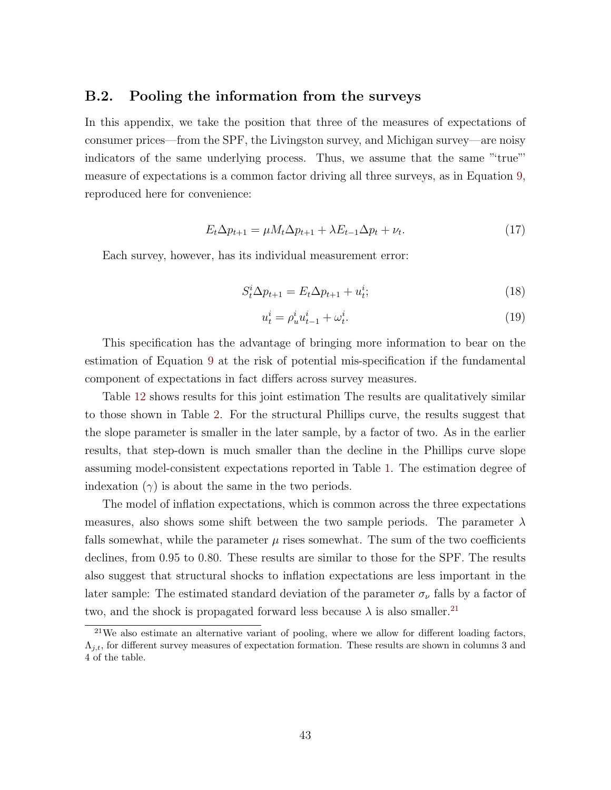#### B.2. Pooling the information from the surveys

In this appendix, we take the position that three of the measures of expectations of consumer prices—from the SPF, the Livingston survey, and Michigan survey—are noisy indicators of the same underlying process. Thus, we assume that the same "'true"' measure of expectations is a common factor driving all three surveys, as in Equation [9,](#page-8-0) reproduced here for convenience:

$$
E_t \Delta p_{t+1} = \mu M_t \Delta p_{t+1} + \lambda E_{t-1} \Delta p_t + \nu_t. \tag{17}
$$

Each survey, however, has its individual measurement error:

$$
S_t^i \Delta p_{t+1} = E_t \Delta p_{t+1} + u_t^i; \tag{18}
$$

$$
u_t^i = \rho_u^i u_{t-1}^i + \omega_t^i. \tag{19}
$$

This specification has the advantage of bringing more information to bear on the estimation of Equation [9](#page-8-0) at the risk of potential mis-specification if the fundamental component of expectations in fact differs across survey measures.

Table [12](#page-45-0) shows results for this joint estimation The results are qualitatively similar to those shown in Table [2.](#page-16-0) For the structural Phillips curve, the results suggest that the slope parameter is smaller in the later sample, by a factor of two. As in the earlier results, that step-down is much smaller than the decline in the Phillips curve slope assuming model-consistent expectations reported in Table [1.](#page-15-0) The estimation degree of indexation  $(\gamma)$  is about the same in the two periods.

The model of inflation expectations, which is common across the three expectations measures, also shows some shift between the two sample periods. The parameter  $\lambda$ falls somewhat, while the parameter  $\mu$  rises somewhat. The sum of the two coefficients declines, from 0.95 to 0.80. These results are similar to those for the SPF. The results also suggest that structural shocks to inflation expectations are less important in the later sample: The estimated standard deviation of the parameter  $\sigma_{\nu}$  falls by a factor of two, and the shock is propagated forward less because  $\lambda$  is also smaller.<sup>[21](#page-44-0)</sup>

<span id="page-44-0"></span> $21$ We also estimate an alternative variant of pooling, where we allow for different loading factors,  $\Lambda_{j,t}$ , for different survey measures of expectation formation. These results are shown in columns 3 and 4 of the table.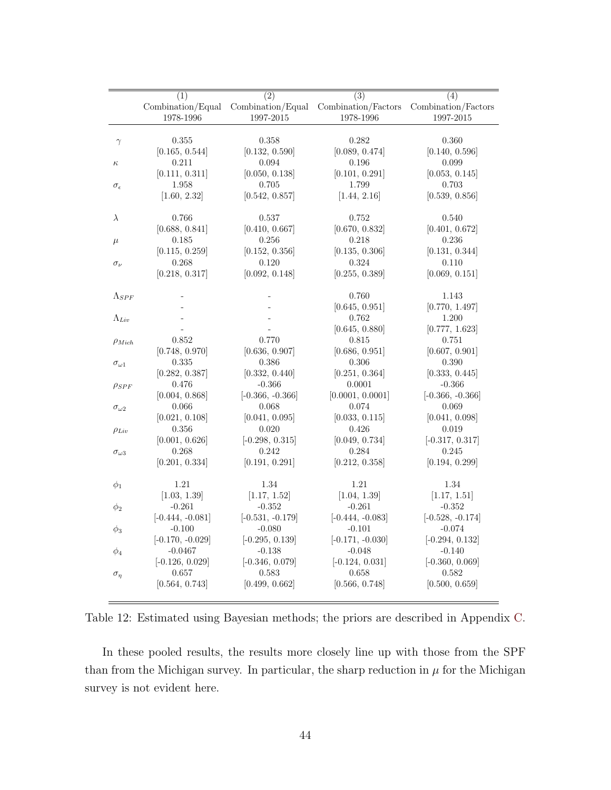|                     | (1)                            | $\overline{(2)}$              | $\overline{(3)}$                                          | (4)                           |
|---------------------|--------------------------------|-------------------------------|-----------------------------------------------------------|-------------------------------|
|                     | Combination/Equal              |                               | Combination/Equal Combination/Factors Combination/Factors |                               |
|                     | 1978-1996                      | 1997-2015                     | 1978-1996                                                 | 1997-2015                     |
|                     |                                |                               |                                                           |                               |
| $\gamma$            | 0.355                          | 0.358                         | 0.282                                                     | 0.360                         |
|                     | [0.165, 0.544]                 | [0.132, 0.590]                | [0.089, 0.474]                                            | [0.140, 0.596]                |
| $\kappa$            | 0.211                          | 0.094                         | 0.196                                                     | 0.099                         |
|                     | [0.111, 0.311]                 | [0.050, 0.138]                | [0.101, 0.291]                                            | [0.053, 0.145]                |
| $\sigma_{\epsilon}$ | 1.958                          | 0.705                         | 1.799                                                     | 0.703                         |
|                     | [1.60, 2.32]                   | [0.542, 0.857]                | [1.44, 2.16]                                              | [0.539, 0.856]                |
|                     |                                |                               |                                                           |                               |
| $\lambda$           | 0.766                          | 0.537                         | 0.752                                                     | 0.540                         |
|                     | [0.688, 0.841]                 | [0.410, 0.667]                | [0.670, 0.832]                                            | [0.401, 0.672]                |
| $\mu$               | 0.185                          | 0.256                         | 0.218                                                     | 0.236                         |
|                     | [0.115, 0.259]                 | [0.152, 0.356]                | [0.135, 0.306]                                            | [0.131, 0.344]                |
| $\sigma_{\nu}$      | 0.268                          | 0.120                         | 0.324                                                     | 0.110                         |
|                     | [0.218, 0.317]                 | [0.092, 0.148]                | [0.255, 0.389]                                            | [0.069, 0.151]                |
|                     |                                |                               |                                                           |                               |
| $\Lambda_{SPF}$     |                                |                               | 0.760                                                     | 1.143                         |
|                     |                                |                               | [0.645, 0.951]                                            | [0.770, 1.497]                |
| $\Lambda_{Liv}$     |                                |                               | 0.762                                                     | $1.200\,$                     |
|                     |                                |                               | [0.645, 0.880]                                            | [0.777, 1.623]                |
| $\rho_{Mich}$       | 0.852                          | 0.770                         | 0.815                                                     | 0.751                         |
|                     | [0.748, 0.970]                 | [0.636, 0.907]                | [0.686, 0.951]                                            | [0.607, 0.901]                |
| $\sigma_{\omega 1}$ | 0.335                          | 0.386                         | 0.306                                                     | 0.390                         |
|                     | [0.282, 0.387]                 | [0.332, 0.440]                | [0.251, 0.364]                                            | [0.333, 0.445]                |
| $\rho_{SPF}$        | 0.476                          | $-0.366$                      | 0.0001                                                    | $-0.366$                      |
|                     | [0.004, 0.868]                 | $[-0.366, -0.366]$            | [0.0001, 0.0001]                                          | $[-0.366, -0.366]$            |
| $\sigma_{\omega 2}$ | 0.066                          | 0.068                         | 0.074                                                     | 0.069                         |
|                     | [0.021, 0.108]                 | [0.041, 0.095]                | [0.033, 0.115]                                            | [0.041, 0.098]                |
|                     | 0.356                          | 0.020                         | 0.426                                                     | 0.019                         |
| $\rho_{Liv}$        | [0.001, 0.626]                 | $[-0.298, 0.315]$             | [0.049, 0.734]                                            | $[-0.317, 0.317]$             |
|                     | 0.268                          | 0.242                         | 0.284                                                     | 0.245                         |
| $\sigma_{\omega 3}$ | [0.201, 0.334]                 | [0.191, 0.291]                | [0.212, 0.358]                                            | [0.194, 0.299]                |
|                     |                                |                               |                                                           |                               |
| $\phi_1$            | 1.21                           | 1.34                          | 1.21                                                      | 1.34                          |
|                     | [1.03, 1.39]                   | [1.17, 1.52]                  | [1.04, 1.39]                                              | [1.17, 1.51]                  |
| $\phi_2$            | $-0.261$                       | $-0.352$                      | $-0.261$                                                  | $-0.352$                      |
|                     | $[-0.444, -0.081]$             | $[-0.531, -0.179]$            | $[-0.444, -0.083]$                                        | $[-0.528, -0.174]$            |
|                     | $-0.100$                       | $-0.080$                      | $-0.101$                                                  | $-0.074$                      |
| $\phi_3$            | $[-0.170, -0.029]$             | $[-0.295, 0.139]$             | $[-0.171, -0.030]$                                        | $[-0.294, 0.132]$             |
|                     |                                |                               |                                                           |                               |
| $\phi_4$            | $-0.0467$<br>$[-0.126, 0.029]$ | $-0.138$<br>$[-0.346, 0.079]$ | $-0.048$<br>$[-0.124, 0.031]$                             | $-0.140$<br>$[-0.360, 0.069]$ |
|                     | 0.657                          | 0.583                         | 0.658                                                     | 0.582                         |
| $\sigma_{\eta}$     |                                |                               |                                                           |                               |
|                     | [0.564, 0.743]                 | [0.499, 0.662]                | [0.566, 0.748]                                            | [0.500, 0.659]                |

<span id="page-45-0"></span>Table 12: Estimated using Bayesian methods; the priors are described in Appendix [C.](#page-9-3)

In these pooled results, the results more closely line up with those from the SPF than from the Michigan survey. In particular, the sharp reduction in  $\mu$  for the Michigan survey is not evident here.